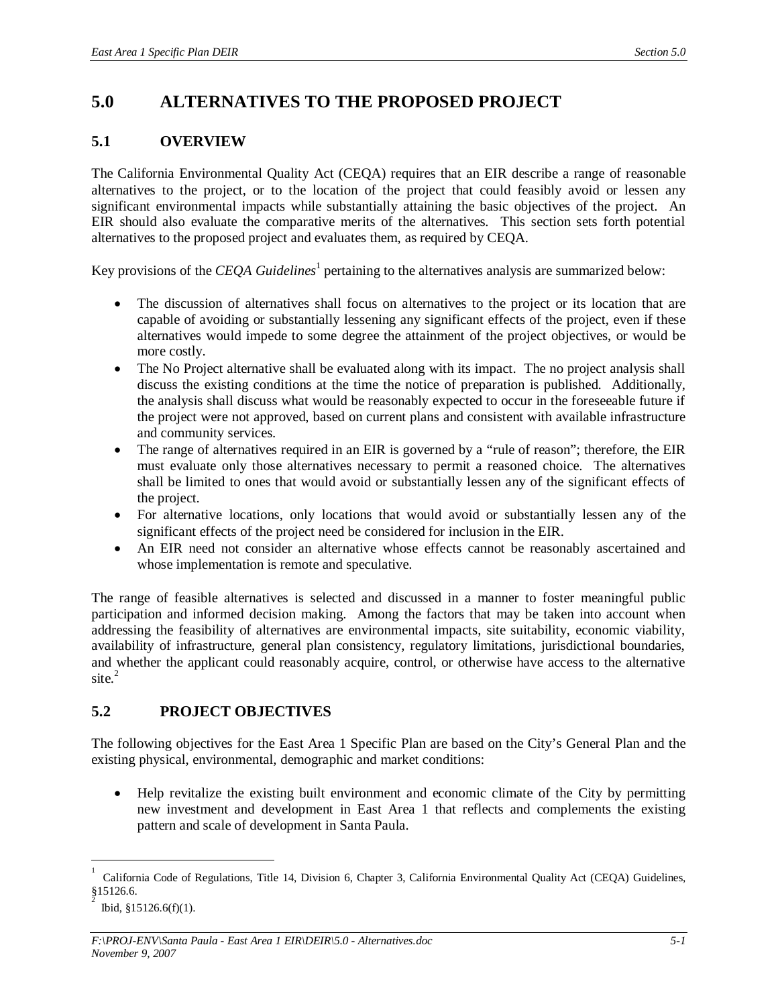# **5.0 ALTERNATIVES TO THE PROPOSED PROJECT**

## **5.1 OVERVIEW**

The California Environmental Quality Act (CEQA) requires that an EIR describe a range of reasonable alternatives to the project, or to the location of the project that could feasibly avoid or lessen any significant environmental impacts while substantially attaining the basic objectives of the project. An EIR should also evaluate the comparative merits of the alternatives. This section sets forth potential alternatives to the proposed project and evaluates them, as required by CEQA.

Key provisions of the *CEQA Guidelines*<sup>1</sup> pertaining to the alternatives analysis are summarized below:

- The discussion of alternatives shall focus on alternatives to the project or its location that are capable of avoiding or substantially lessening any significant effects of the project, even if these alternatives would impede to some degree the attainment of the project objectives, or would be more costly.
- The No Project alternative shall be evaluated along with its impact. The no project analysis shall discuss the existing conditions at the time the notice of preparation is published. Additionally, the analysis shall discuss what would be reasonably expected to occur in the foreseeable future if the project were not approved, based on current plans and consistent with available infrastructure and community services.
- The range of alternatives required in an EIR is governed by a "rule of reason"; therefore, the EIR must evaluate only those alternatives necessary to permit a reasoned choice. The alternatives shall be limited to ones that would avoid or substantially lessen any of the significant effects of the project.
- For alternative locations, only locations that would avoid or substantially lessen any of the significant effects of the project need be considered for inclusion in the EIR.
- An EIR need not consider an alternative whose effects cannot be reasonably ascertained and whose implementation is remote and speculative.

The range of feasible alternatives is selected and discussed in a manner to foster meaningful public participation and informed decision making. Among the factors that may be taken into account when addressing the feasibility of alternatives are environmental impacts, site suitability, economic viability, availability of infrastructure, general plan consistency, regulatory limitations, jurisdictional boundaries, and whether the applicant could reasonably acquire, control, or otherwise have access to the alternative site.<sup>2</sup>

# **5.2 PROJECT OBJECTIVES**

The following objectives for the East Area 1 Specific Plan are based on the City's General Plan and the existing physical, environmental, demographic and market conditions:

• Help revitalize the existing built environment and economic climate of the City by permitting new investment and development in East Area 1 that reflects and complements the existing pattern and scale of development in Santa Paula.

<sup>1</sup> California Code of Regulations, Title 14, Division 6, Chapter 3, California Environmental Quality Act (CEQA) Guidelines, §15126.6.

<sup>2</sup> Ibid, §15126.6(f)(1).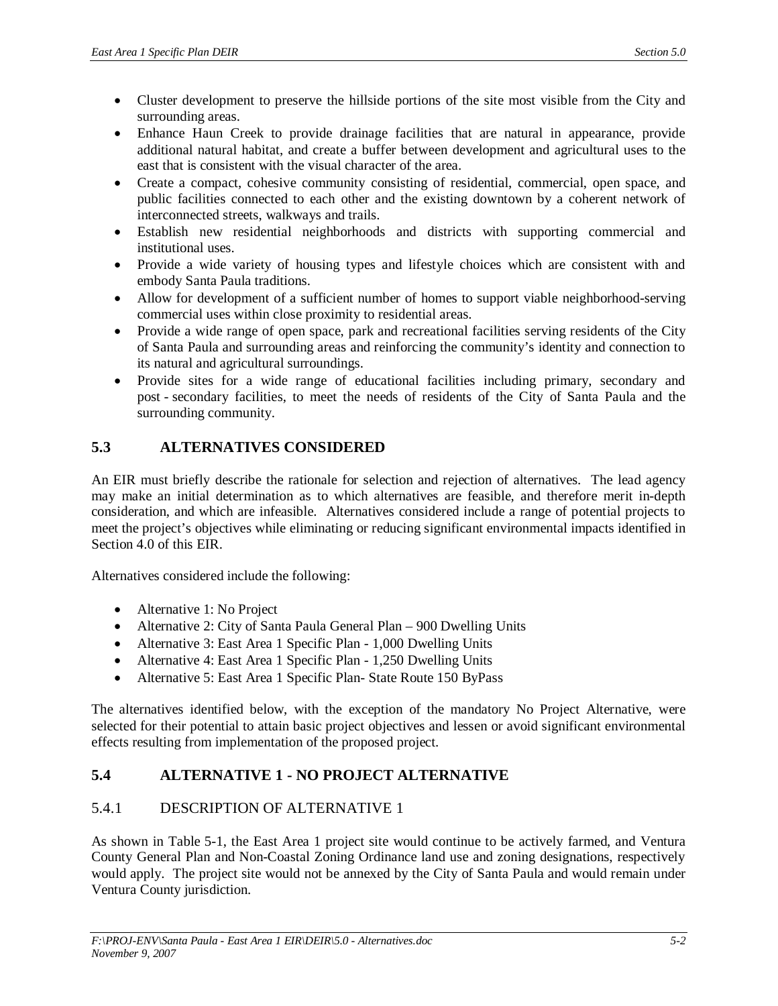- Cluster development to preserve the hillside portions of the site most visible from the City and surrounding areas.
- Enhance Haun Creek to provide drainage facilities that are natural in appearance, provide additional natural habitat, and create a buffer between development and agricultural uses to the east that is consistent with the visual character of the area.
- Create a compact, cohesive community consisting of residential, commercial, open space, and public facilities connected to each other and the existing downtown by a coherent network of interconnected streets, walkways and trails.
- Establish new residential neighborhoods and districts with supporting commercial and institutional uses.
- Provide a wide variety of housing types and lifestyle choices which are consistent with and embody Santa Paula traditions.
- Allow for development of a sufficient number of homes to support viable neighborhood-serving commercial uses within close proximity to residential areas.
- Provide a wide range of open space, park and recreational facilities serving residents of the City of Santa Paula and surrounding areas and reinforcing the community's identity and connection to its natural and agricultural surroundings.
- Provide sites for a wide range of educational facilities including primary, secondary and post - secondary facilities, to meet the needs of residents of the City of Santa Paula and the surrounding community.

# **5.3 ALTERNATIVES CONSIDERED**

An EIR must briefly describe the rationale for selection and rejection of alternatives. The lead agency may make an initial determination as to which alternatives are feasible, and therefore merit in-depth consideration, and which are infeasible. Alternatives considered include a range of potential projects to meet the project's objectives while eliminating or reducing significant environmental impacts identified in Section 4.0 of this EIR.

Alternatives considered include the following:

- $\bullet$  Alternative 1: No Project
- Alternative 2: City of Santa Paula General Plan 900 Dwelling Units
- Alternative 3: East Area 1 Specific Plan 1,000 Dwelling Units
- Alternative 4: East Area 1 Specific Plan 1,250 Dwelling Units
- Alternative 5: East Area 1 Specific Plan- State Route 150 ByPass

The alternatives identified below, with the exception of the mandatory No Project Alternative, were selected for their potential to attain basic project objectives and lessen or avoid significant environmental effects resulting from implementation of the proposed project.

# **5.4 ALTERNATIVE 1 - NO PROJECT ALTERNATIVE**

### 5.4.1 DESCRIPTION OF ALTERNATIVE 1

As shown in Table 5-1, the East Area 1 project site would continue to be actively farmed, and Ventura County General Plan and Non-Coastal Zoning Ordinance land use and zoning designations, respectively would apply. The project site would not be annexed by the City of Santa Paula and would remain under Ventura County jurisdiction.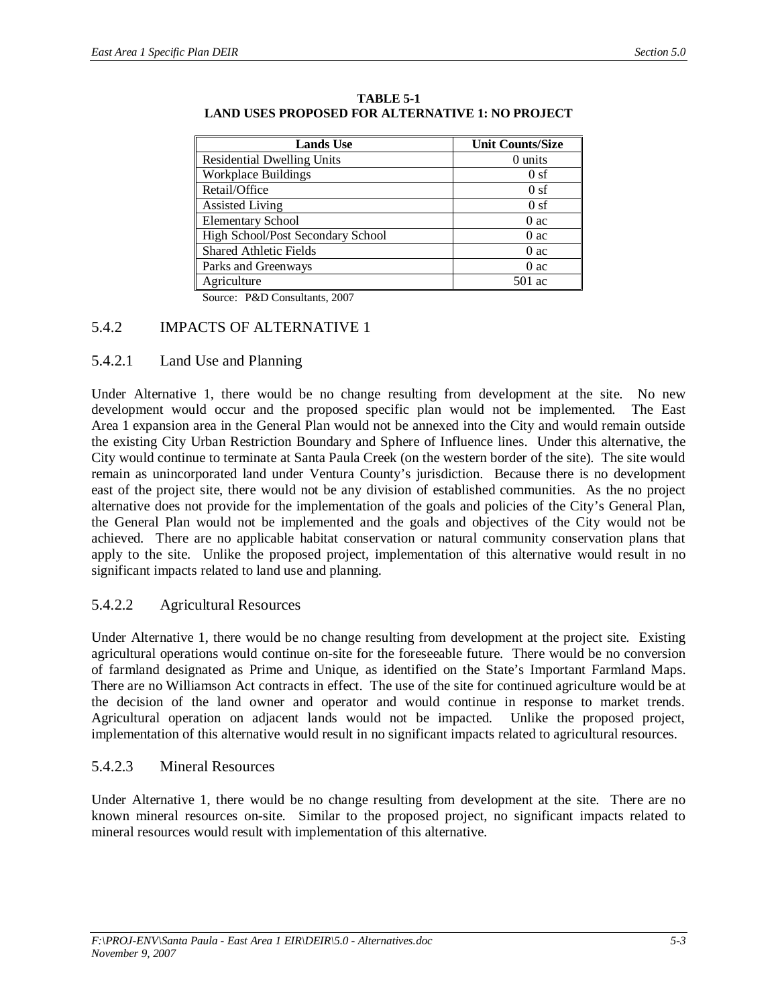| <b>Lands Use</b>                  | <b>Unit Counts/Size</b> |
|-----------------------------------|-------------------------|
| <b>Residential Dwelling Units</b> | 0 units                 |
| <b>Workplace Buildings</b>        | 0sf                     |
| Retail/Office                     | 0sf                     |
| <b>Assisted Living</b>            | 0sf                     |
| <b>Elementary School</b>          | 0 ac                    |
| High School/Post Secondary School | 0ac                     |
| <b>Shared Athletic Fields</b>     | 0ac                     |
| Parks and Greenways               | 0ac                     |
| Agriculture                       | 501 ac                  |

**TABLE 5-1 LAND USES PROPOSED FOR ALTERNATIVE 1: NO PROJECT**

Source: P&D Consultants, 2007

#### 5.4.2 IMPACTS OF ALTERNATIVE 1

#### 5.4.2.1 Land Use and Planning

Under Alternative 1, there would be no change resulting from development at the site. No new development would occur and the proposed specific plan would not be implemented. The East Area 1 expansion area in the General Plan would not be annexed into the City and would remain outside the existing City Urban Restriction Boundary and Sphere of Influence lines. Under this alternative, the City would continue to terminate at Santa Paula Creek (on the western border of the site). The site would remain as unincorporated land under Ventura County's jurisdiction. Because there is no development east of the project site, there would not be any division of established communities. As the no project alternative does not provide for the implementation of the goals and policies of the City's General Plan, the General Plan would not be implemented and the goals and objectives of the City would not be achieved. There are no applicable habitat conservation or natural community conservation plans that apply to the site. Unlike the proposed project, implementation of this alternative would result in no significant impacts related to land use and planning.

### 5.4.2.2 Agricultural Resources

Under Alternative 1, there would be no change resulting from development at the project site. Existing agricultural operations would continue on-site for the foreseeable future. There would be no conversion of farmland designated as Prime and Unique, as identified on the State's Important Farmland Maps. There are no Williamson Act contracts in effect. The use of the site for continued agriculture would be at the decision of the land owner and operator and would continue in response to market trends. Agricultural operation on adjacent lands would not be impacted. Unlike the proposed project, implementation of this alternative would result in no significant impacts related to agricultural resources.

### 5.4.2.3 Mineral Resources

Under Alternative 1, there would be no change resulting from development at the site. There are no known mineral resources on-site. Similar to the proposed project, no significant impacts related to mineral resources would result with implementation of this alternative.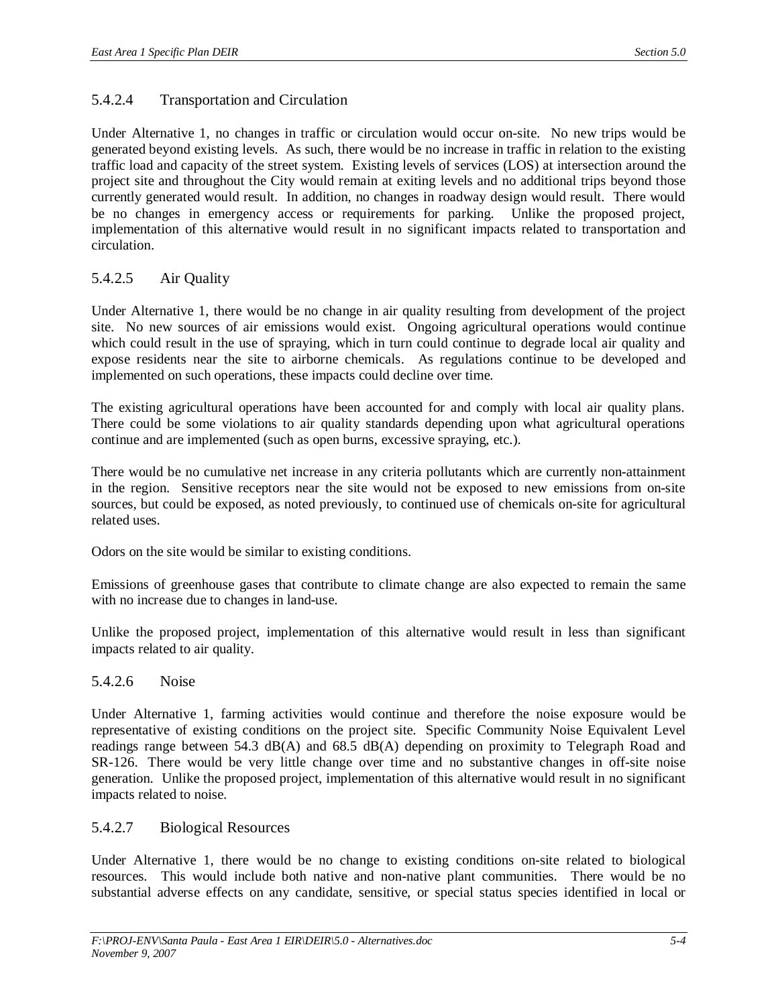### 5.4.2.4 Transportation and Circulation

Under Alternative 1, no changes in traffic or circulation would occur on-site. No new trips would be generated beyond existing levels. As such, there would be no increase in traffic in relation to the existing traffic load and capacity of the street system. Existing levels of services (LOS) at intersection around the project site and throughout the City would remain at exiting levels and no additional trips beyond those currently generated would result. In addition, no changes in roadway design would result. There would be no changes in emergency access or requirements for parking. Unlike the proposed project, implementation of this alternative would result in no significant impacts related to transportation and circulation.

### 5.4.2.5 Air Quality

Under Alternative 1, there would be no change in air quality resulting from development of the project site. No new sources of air emissions would exist. Ongoing agricultural operations would continue which could result in the use of spraying, which in turn could continue to degrade local air quality and expose residents near the site to airborne chemicals. As regulations continue to be developed and implemented on such operations, these impacts could decline over time.

The existing agricultural operations have been accounted for and comply with local air quality plans. There could be some violations to air quality standards depending upon what agricultural operations continue and are implemented (such as open burns, excessive spraying, etc.).

There would be no cumulative net increase in any criteria pollutants which are currently non-attainment in the region. Sensitive receptors near the site would not be exposed to new emissions from on-site sources, but could be exposed, as noted previously, to continued use of chemicals on-site for agricultural related uses.

Odors on the site would be similar to existing conditions.

Emissions of greenhouse gases that contribute to climate change are also expected to remain the same with no increase due to changes in land-use.

Unlike the proposed project, implementation of this alternative would result in less than significant impacts related to air quality.

### 5.4.2.6 Noise

Under Alternative 1, farming activities would continue and therefore the noise exposure would be representative of existing conditions on the project site. Specific Community Noise Equivalent Level readings range between 54.3 dB(A) and 68.5 dB(A) depending on proximity to Telegraph Road and SR-126. There would be very little change over time and no substantive changes in off-site noise generation. Unlike the proposed project, implementation of this alternative would result in no significant impacts related to noise.

### 5.4.2.7 Biological Resources

Under Alternative 1, there would be no change to existing conditions on-site related to biological resources. This would include both native and non-native plant communities. There would be no substantial adverse effects on any candidate, sensitive, or special status species identified in local or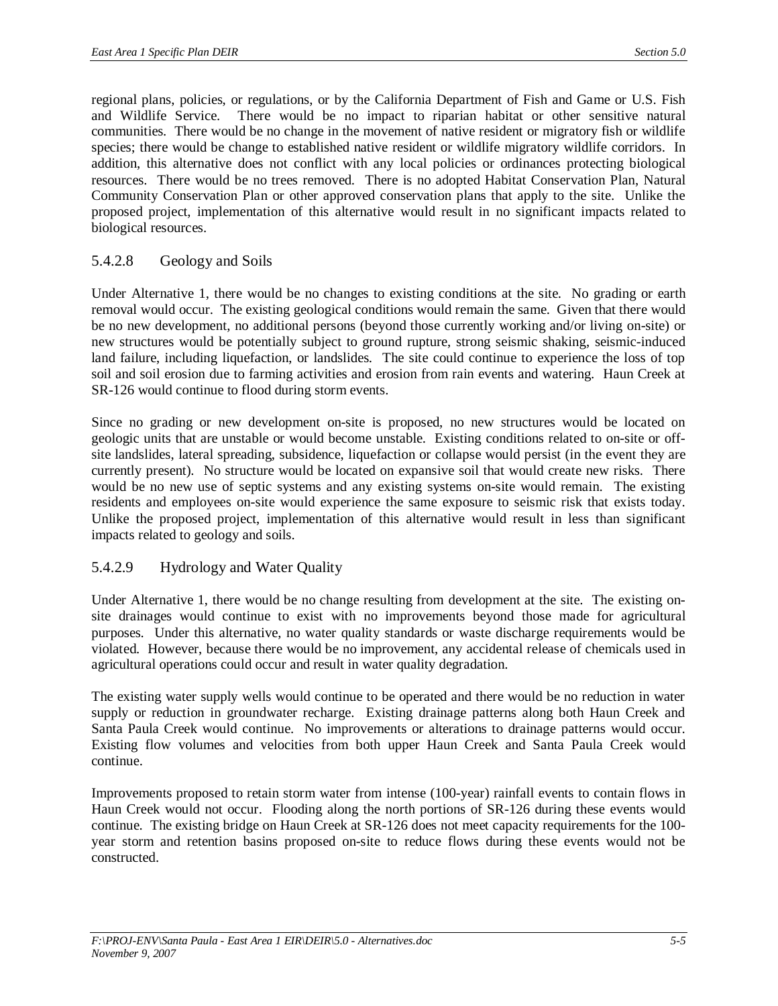regional plans, policies, or regulations, or by the California Department of Fish and Game or U.S. Fish and Wildlife Service. There would be no impact to riparian habitat or other sensitive natural communities. There would be no change in the movement of native resident or migratory fish or wildlife species; there would be change to established native resident or wildlife migratory wildlife corridors. In addition, this alternative does not conflict with any local policies or ordinances protecting biological resources. There would be no trees removed. There is no adopted Habitat Conservation Plan, Natural Community Conservation Plan or other approved conservation plans that apply to the site. Unlike the proposed project, implementation of this alternative would result in no significant impacts related to biological resources.

### 5.4.2.8 Geology and Soils

Under Alternative 1, there would be no changes to existing conditions at the site. No grading or earth removal would occur. The existing geological conditions would remain the same. Given that there would be no new development, no additional persons (beyond those currently working and/or living on-site) or new structures would be potentially subject to ground rupture, strong seismic shaking, seismic-induced land failure, including liquefaction, or landslides. The site could continue to experience the loss of top soil and soil erosion due to farming activities and erosion from rain events and watering. Haun Creek at SR-126 would continue to flood during storm events.

Since no grading or new development on-site is proposed, no new structures would be located on geologic units that are unstable or would become unstable. Existing conditions related to on-site or offsite landslides, lateral spreading, subsidence, liquefaction or collapse would persist (in the event they are currently present). No structure would be located on expansive soil that would create new risks. There would be no new use of septic systems and any existing systems on-site would remain. The existing residents and employees on-site would experience the same exposure to seismic risk that exists today. Unlike the proposed project, implementation of this alternative would result in less than significant impacts related to geology and soils.

### 5.4.2.9 Hydrology and Water Quality

Under Alternative 1, there would be no change resulting from development at the site. The existing onsite drainages would continue to exist with no improvements beyond those made for agricultural purposes. Under this alternative, no water quality standards or waste discharge requirements would be violated. However, because there would be no improvement, any accidental release of chemicals used in agricultural operations could occur and result in water quality degradation.

The existing water supply wells would continue to be operated and there would be no reduction in water supply or reduction in groundwater recharge. Existing drainage patterns along both Haun Creek and Santa Paula Creek would continue. No improvements or alterations to drainage patterns would occur. Existing flow volumes and velocities from both upper Haun Creek and Santa Paula Creek would continue.

Improvements proposed to retain storm water from intense (100-year) rainfall events to contain flows in Haun Creek would not occur. Flooding along the north portions of SR-126 during these events would continue. The existing bridge on Haun Creek at SR-126 does not meet capacity requirements for the 100 year storm and retention basins proposed on-site to reduce flows during these events would not be constructed.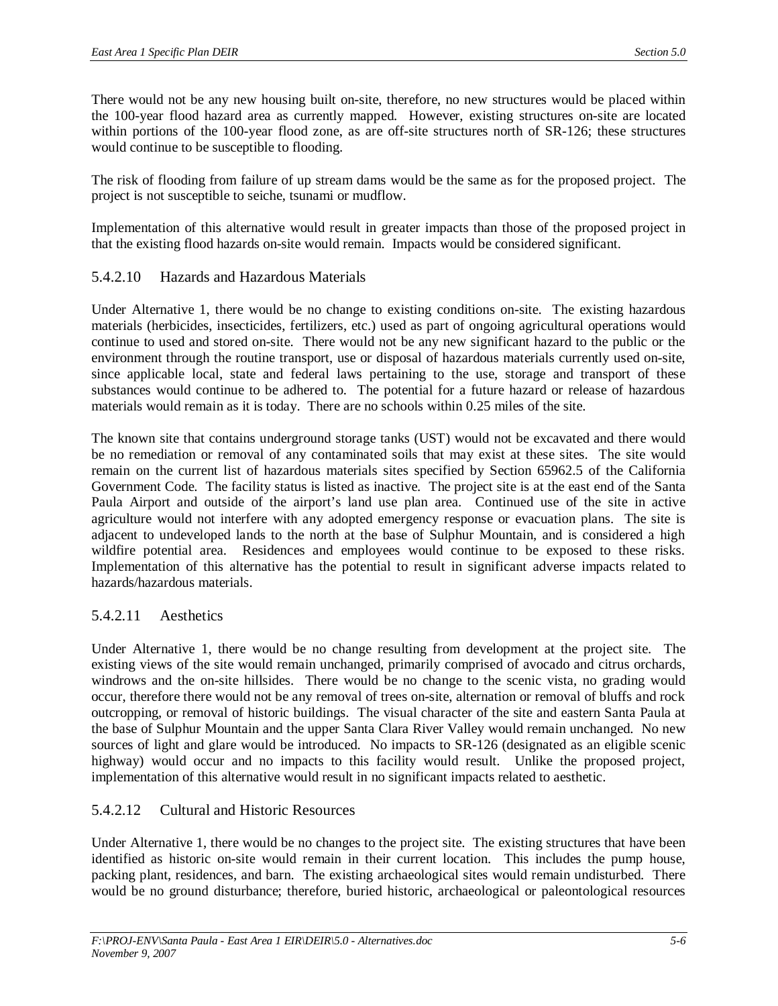There would not be any new housing built on-site, therefore, no new structures would be placed within the 100-year flood hazard area as currently mapped. However, existing structures on-site are located within portions of the 100-year flood zone, as are off-site structures north of SR-126; these structures would continue to be susceptible to flooding.

The risk of flooding from failure of up stream dams would be the same as for the proposed project. The project is not susceptible to seiche, tsunami or mudflow.

Implementation of this alternative would result in greater impacts than those of the proposed project in that the existing flood hazards on-site would remain. Impacts would be considered significant.

### 5.4.2.10 Hazards and Hazardous Materials

Under Alternative 1, there would be no change to existing conditions on-site. The existing hazardous materials (herbicides, insecticides, fertilizers, etc.) used as part of ongoing agricultural operations would continue to used and stored on-site. There would not be any new significant hazard to the public or the environment through the routine transport, use or disposal of hazardous materials currently used on-site, since applicable local, state and federal laws pertaining to the use, storage and transport of these substances would continue to be adhered to. The potential for a future hazard or release of hazardous materials would remain as it is today. There are no schools within 0.25 miles of the site.

The known site that contains underground storage tanks (UST) would not be excavated and there would be no remediation or removal of any contaminated soils that may exist at these sites. The site would remain on the current list of hazardous materials sites specified by Section 65962.5 of the California Government Code. The facility status is listed as inactive. The project site is at the east end of the Santa Paula Airport and outside of the airport's land use plan area. Continued use of the site in active agriculture would not interfere with any adopted emergency response or evacuation plans. The site is adjacent to undeveloped lands to the north at the base of Sulphur Mountain, and is considered a high wildfire potential area. Residences and employees would continue to be exposed to these risks. Implementation of this alternative has the potential to result in significant adverse impacts related to hazards/hazardous materials.

### 5.4.2.11 Aesthetics

Under Alternative 1, there would be no change resulting from development at the project site. The existing views of the site would remain unchanged, primarily comprised of avocado and citrus orchards, windrows and the on-site hillsides. There would be no change to the scenic vista, no grading would occur, therefore there would not be any removal of trees on-site, alternation or removal of bluffs and rock outcropping, or removal of historic buildings. The visual character of the site and eastern Santa Paula at the base of Sulphur Mountain and the upper Santa Clara River Valley would remain unchanged. No new sources of light and glare would be introduced. No impacts to SR-126 (designated as an eligible scenic highway) would occur and no impacts to this facility would result. Unlike the proposed project, implementation of this alternative would result in no significant impacts related to aesthetic.

### 5.4.2.12 Cultural and Historic Resources

Under Alternative 1, there would be no changes to the project site. The existing structures that have been identified as historic on-site would remain in their current location. This includes the pump house, packing plant, residences, and barn. The existing archaeological sites would remain undisturbed. There would be no ground disturbance; therefore, buried historic, archaeological or paleontological resources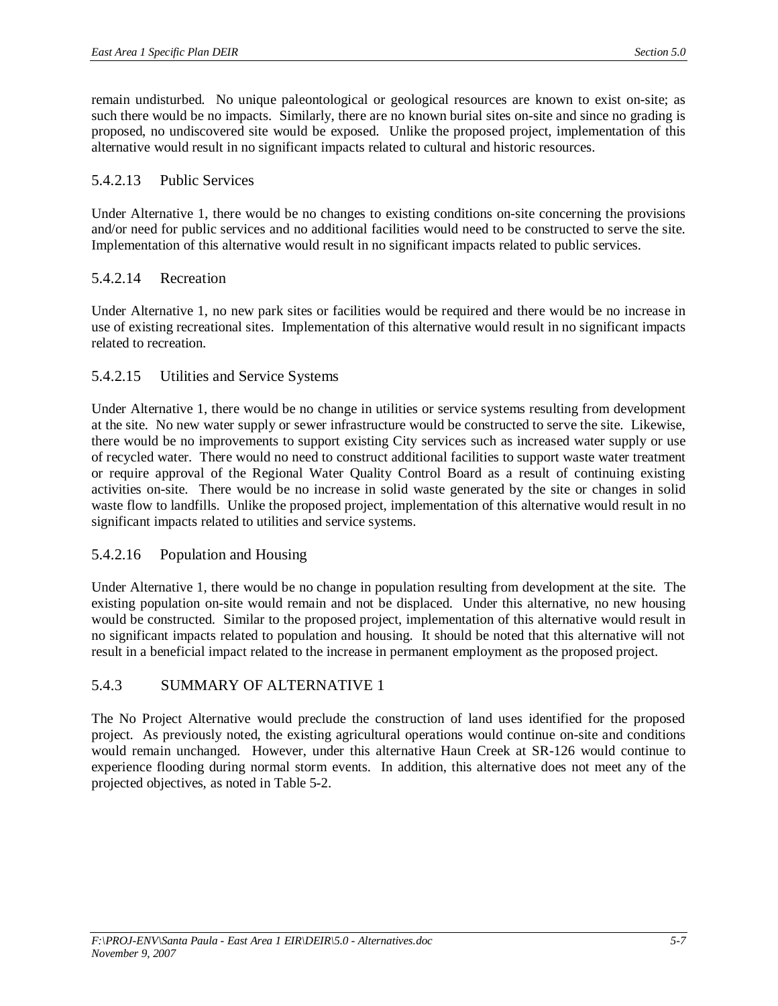remain undisturbed. No unique paleontological or geological resources are known to exist on-site; as such there would be no impacts. Similarly, there are no known burial sites on-site and since no grading is proposed, no undiscovered site would be exposed. Unlike the proposed project, implementation of this alternative would result in no significant impacts related to cultural and historic resources.

#### 5.4.2.13 Public Services

Under Alternative 1, there would be no changes to existing conditions on-site concerning the provisions and/or need for public services and no additional facilities would need to be constructed to serve the site. Implementation of this alternative would result in no significant impacts related to public services.

### 5.4.2.14 Recreation

Under Alternative 1, no new park sites or facilities would be required and there would be no increase in use of existing recreational sites. Implementation of this alternative would result in no significant impacts related to recreation.

#### 5.4.2.15 Utilities and Service Systems

Under Alternative 1, there would be no change in utilities or service systems resulting from development at the site. No new water supply or sewer infrastructure would be constructed to serve the site. Likewise, there would be no improvements to support existing City services such as increased water supply or use of recycled water. There would no need to construct additional facilities to support waste water treatment or require approval of the Regional Water Quality Control Board as a result of continuing existing activities on-site. There would be no increase in solid waste generated by the site or changes in solid waste flow to landfills. Unlike the proposed project, implementation of this alternative would result in no significant impacts related to utilities and service systems.

### 5.4.2.16 Population and Housing

Under Alternative 1, there would be no change in population resulting from development at the site. The existing population on-site would remain and not be displaced. Under this alternative, no new housing would be constructed. Similar to the proposed project, implementation of this alternative would result in no significant impacts related to population and housing. It should be noted that this alternative will not result in a beneficial impact related to the increase in permanent employment as the proposed project.

### 5.4.3 SUMMARY OF ALTERNATIVE 1

The No Project Alternative would preclude the construction of land uses identified for the proposed project. As previously noted, the existing agricultural operations would continue on-site and conditions would remain unchanged. However, under this alternative Haun Creek at SR-126 would continue to experience flooding during normal storm events. In addition, this alternative does not meet any of the projected objectives, as noted in Table 5-2.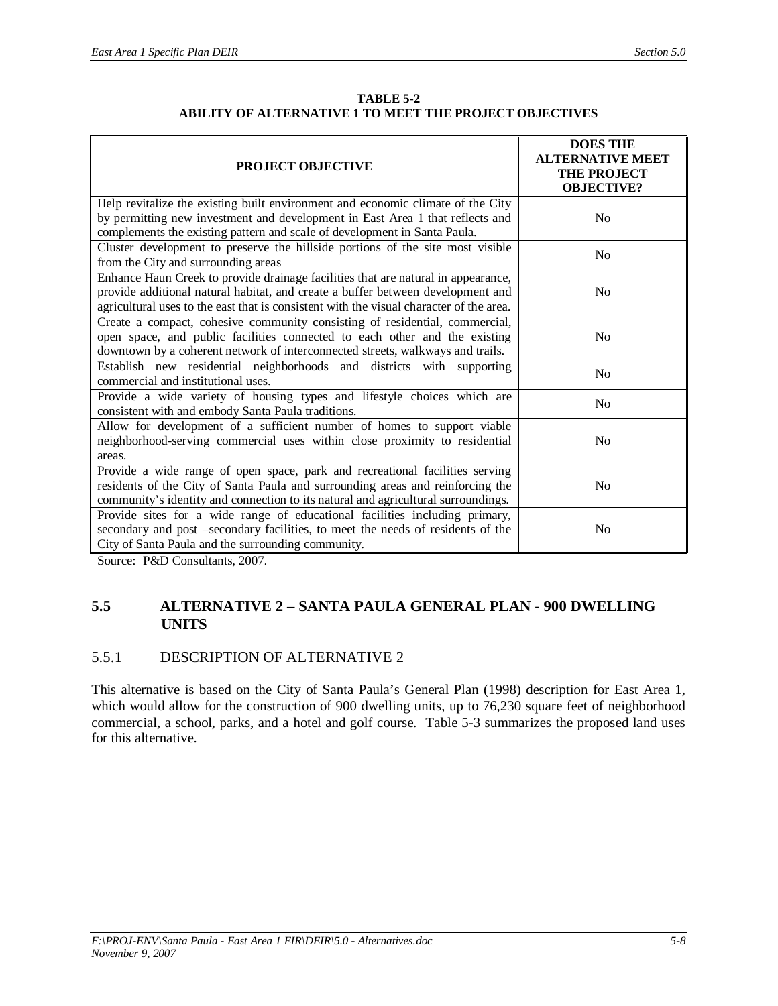| <b>TABLE 5-2</b>                                        |
|---------------------------------------------------------|
| ABILITY OF ALTERNATIVE 1 TO MEET THE PROJECT OBJECTIVES |

| <b>PROJECT OBJECTIVE</b>                                                                                                                                                                                                                                        | <b>DOES THE</b><br><b>ALTERNATIVE MEET</b><br><b>THE PROJECT</b><br><b>OBJECTIVE?</b> |
|-----------------------------------------------------------------------------------------------------------------------------------------------------------------------------------------------------------------------------------------------------------------|---------------------------------------------------------------------------------------|
| Help revitalize the existing built environment and economic climate of the City                                                                                                                                                                                 |                                                                                       |
| by permitting new investment and development in East Area 1 that reflects and                                                                                                                                                                                   | No                                                                                    |
| complements the existing pattern and scale of development in Santa Paula.                                                                                                                                                                                       |                                                                                       |
| Cluster development to preserve the hillside portions of the site most visible<br>from the City and surrounding areas                                                                                                                                           | N <sub>0</sub>                                                                        |
| Enhance Haun Creek to provide drainage facilities that are natural in appearance,<br>provide additional natural habitat, and create a buffer between development and<br>agricultural uses to the east that is consistent with the visual character of the area. | N <sub>0</sub>                                                                        |
| Create a compact, cohesive community consisting of residential, commercial,<br>open space, and public facilities connected to each other and the existing<br>downtown by a coherent network of interconnected streets, walkways and trails.                     | No                                                                                    |
| Establish new residential neighborhoods and districts with supporting<br>commercial and institutional uses.                                                                                                                                                     | No                                                                                    |
| Provide a wide variety of housing types and lifestyle choices which are<br>consistent with and embody Santa Paula traditions.                                                                                                                                   | N <sub>0</sub>                                                                        |
| Allow for development of a sufficient number of homes to support viable<br>neighborhood-serving commercial uses within close proximity to residential<br>areas.                                                                                                 | No                                                                                    |
| Provide a wide range of open space, park and recreational facilities serving<br>residents of the City of Santa Paula and surrounding areas and reinforcing the<br>community's identity and connection to its natural and agricultural surroundings.             | N <sub>0</sub>                                                                        |
| Provide sites for a wide range of educational facilities including primary,<br>secondary and post -secondary facilities, to meet the needs of residents of the<br>City of Santa Paula and the surrounding community.                                            | N <sub>0</sub>                                                                        |

Source: P&D Consultants, 2007.

### **5.5 ALTERNATIVE 2 – SANTA PAULA GENERAL PLAN - 900 DWELLING UNITS**

### 5.5.1 DESCRIPTION OF ALTERNATIVE 2

This alternative is based on the City of Santa Paula's General Plan (1998) description for East Area 1, which would allow for the construction of 900 dwelling units, up to 76,230 square feet of neighborhood commercial, a school, parks, and a hotel and golf course. Table 5-3 summarizes the proposed land uses for this alternative.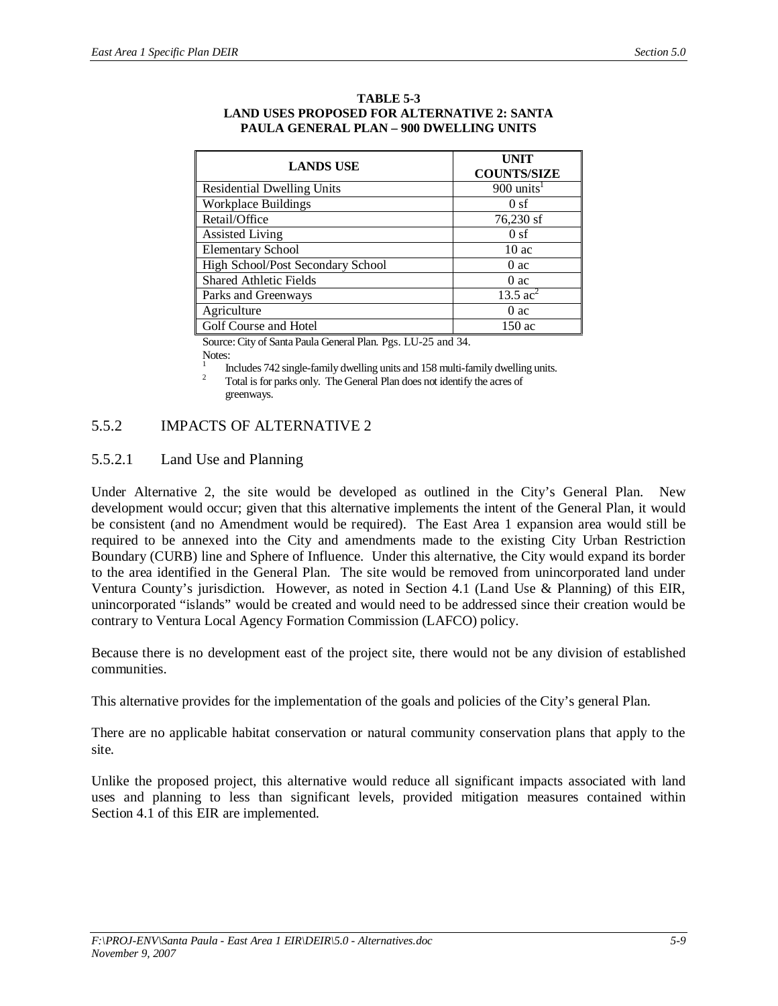| <b>LANDS USE</b>                  | <b>UNIT</b><br><b>COUNTS/SIZE</b> |
|-----------------------------------|-----------------------------------|
| <b>Residential Dwelling Units</b> | $900$ units <sup>1</sup>          |
| <b>Workplace Buildings</b>        | 0sf                               |
| Retail/Office                     | 76,230 sf                         |
| <b>Assisted Living</b>            | 0 <sub>sf</sub>                   |
| <b>Elementary School</b>          | 10ac                              |
| High School/Post Secondary School | 0ac                               |
| <b>Shared Athletic Fields</b>     | 0ac                               |
| Parks and Greenways               | 13.5 $ac^2$                       |
| Agriculture                       | 0ac                               |
| Golf Course and Hotel             | 150 ac                            |

#### **TABLE 5-3 LAND USES PROPOSED FOR ALTERNATIVE 2: SANTA PAULA GENERAL PLAN – 900 DWELLING UNITS**

Source: City of Santa Paula General Plan. Pgs. LU-25 and 34.

Notes:

1 Includes 742 single-family dwelling units and 158 multi-family dwelling units.

<sup>2</sup> Total is for parks only. The General Plan does not identify the acres of greenways.

## 5.5.2 IMPACTS OF ALTERNATIVE 2

### 5.5.2.1 Land Use and Planning

Under Alternative 2, the site would be developed as outlined in the City's General Plan. New development would occur; given that this alternative implements the intent of the General Plan, it would be consistent (and no Amendment would be required). The East Area 1 expansion area would still be required to be annexed into the City and amendments made to the existing City Urban Restriction Boundary (CURB) line and Sphere of Influence. Under this alternative, the City would expand its border to the area identified in the General Plan. The site would be removed from unincorporated land under Ventura County's jurisdiction. However, as noted in Section 4.1 (Land Use & Planning) of this EIR, unincorporated "islands" would be created and would need to be addressed since their creation would be contrary to Ventura Local Agency Formation Commission (LAFCO) policy.

Because there is no development east of the project site, there would not be any division of established communities.

This alternative provides for the implementation of the goals and policies of the City's general Plan.

There are no applicable habitat conservation or natural community conservation plans that apply to the site.

Unlike the proposed project, this alternative would reduce all significant impacts associated with land uses and planning to less than significant levels, provided mitigation measures contained within Section 4.1 of this EIR are implemented.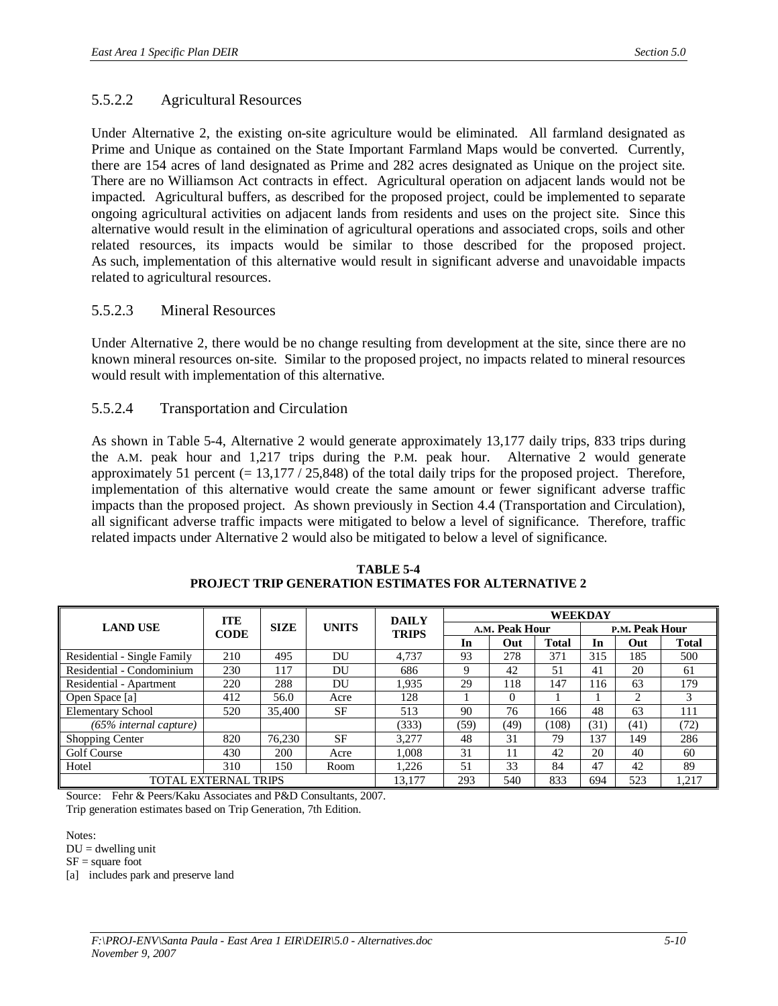### 5.5.2.2 Agricultural Resources

Under Alternative 2, the existing on-site agriculture would be eliminated. All farmland designated as Prime and Unique as contained on the State Important Farmland Maps would be converted. Currently, there are 154 acres of land designated as Prime and 282 acres designated as Unique on the project site. There are no Williamson Act contracts in effect. Agricultural operation on adjacent lands would not be impacted. Agricultural buffers, as described for the proposed project, could be implemented to separate ongoing agricultural activities on adjacent lands from residents and uses on the project site. Since this alternative would result in the elimination of agricultural operations and associated crops, soils and other related resources, its impacts would be similar to those described for the proposed project. As such, implementation of this alternative would result in significant adverse and unavoidable impacts related to agricultural resources.

### 5.5.2.3 Mineral Resources

Under Alternative 2, there would be no change resulting from development at the site, since there are no known mineral resources on-site. Similar to the proposed project, no impacts related to mineral resources would result with implementation of this alternative.

### 5.5.2.4 Transportation and Circulation

As shown in Table 5-4, Alternative 2 would generate approximately 13,177 daily trips, 833 trips during the A.M. peak hour and 1,217 trips during the P.M. peak hour. Alternative 2 would generate approximately 51 percent (= 13,177 / 25,848) of the total daily trips for the proposed project. Therefore, implementation of this alternative would create the same amount or fewer significant adverse traffic impacts than the proposed project. As shown previously in Section 4.4 (Transportation and Circulation), all significant adverse traffic impacts were mitigated to below a level of significance. Therefore, traffic related impacts under Alternative 2 would also be mitigated to below a level of significance.

|                             | <b>ITE</b>                  |             | <b>DAILY</b> |        |                                |          |              | <b>WEEKDAY</b> |      |              |
|-----------------------------|-----------------------------|-------------|--------------|--------|--------------------------------|----------|--------------|----------------|------|--------------|
| <b>LAND USE</b>             | <b>CODE</b>                 | <b>SIZE</b> | <b>UNITS</b> |        | A.M. Peak Hour<br><b>TRIPS</b> |          |              | P.M. Peak Hour |      |              |
|                             |                             |             |              |        | In                             | Out      | <b>Total</b> | In             | Out  | <b>Total</b> |
| Residential - Single Family | 210                         | 495         | DU           | 4.737  | 93                             | 278      | 371          | 315            | 185  | 500          |
| Residential - Condominium   | 230                         | 117         | DU           | 686    | 9                              | 42       | 51           | 41             | 20   | 61           |
| Residential - Apartment     | 220                         | 288         | DU           | 1.935  | 29                             | 118      | 147          | 116            | 63   | 179          |
| Open Space [a]              | 412                         | 56.0        | Acre         | 128    |                                | $\Omega$ |              |                | 2    | 3            |
| <b>Elementary School</b>    | 520                         | 35,400      | <b>SF</b>    | 513    | 90                             | 76       | 166          | 48             | 63   | 111          |
| $(65\%$ internal capture)   |                             |             |              | (333)  | (59)                           | (49)     | (108)        | (31)           | (41) | (72)         |
| Shopping Center             | 820                         | 76,230      | <b>SF</b>    | 3.277  | 48                             | 31       | 79           | 137            | 149  | 286          |
| <b>Golf Course</b>          | 430                         | 200         | Acre         | 1.008  | 31                             | 11       | 42           | 20             | 40   | 60           |
| Hotel                       | 310                         | 150         | Room         | 1.226  | 51                             | 33       | 84           | 47             | 42   | 89           |
|                             | <b>TOTAL EXTERNAL TRIPS</b> |             |              | 13,177 | 293                            | 540      | 833          | 694            | 523  | 1,217        |

**TABLE 5-4 PROJECT TRIP GENERATION ESTIMATES FOR ALTERNATIVE 2**

Source: Fehr & Peers/Kaku Associates and P&D Consultants, 2007. Trip generation estimates based on Trip Generation, 7th Edition.

Notes:

 $DU =$  dwelling unit

 $SF = square foot$ 

[a] includes park and preserve land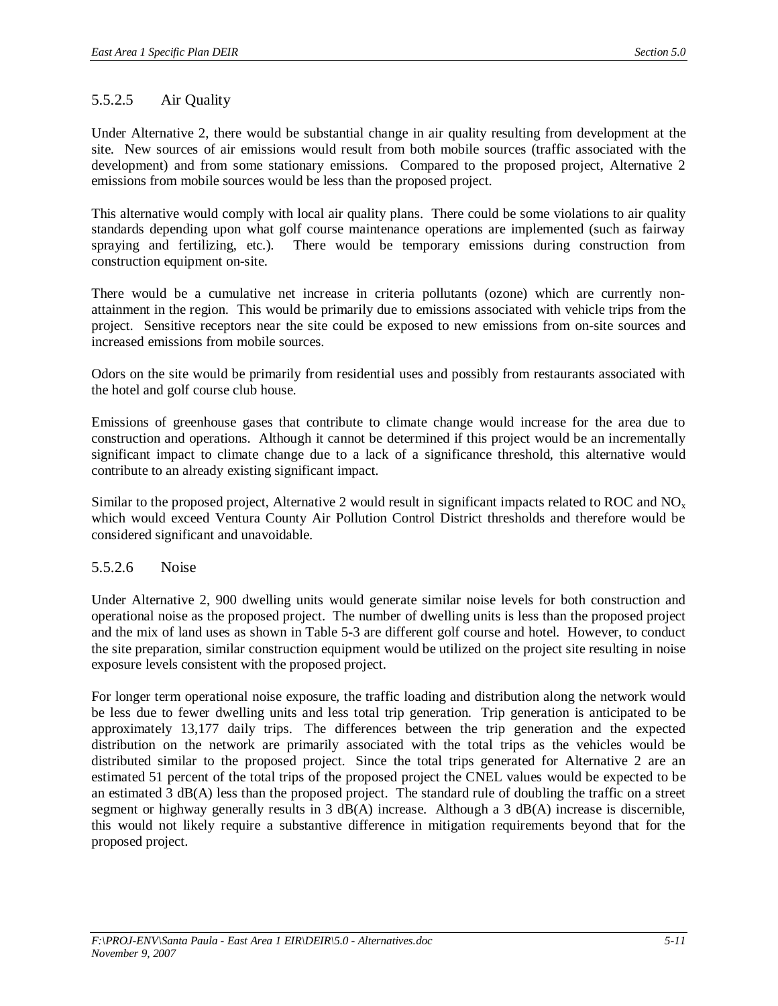## 5.5.2.5 Air Quality

Under Alternative 2, there would be substantial change in air quality resulting from development at the site. New sources of air emissions would result from both mobile sources (traffic associated with the development) and from some stationary emissions. Compared to the proposed project, Alternative 2 emissions from mobile sources would be less than the proposed project.

This alternative would comply with local air quality plans. There could be some violations to air quality standards depending upon what golf course maintenance operations are implemented (such as fairway spraying and fertilizing, etc.). There would be temporary emissions during construction from construction equipment on-site.

There would be a cumulative net increase in criteria pollutants (ozone) which are currently nonattainment in the region. This would be primarily due to emissions associated with vehicle trips from the project. Sensitive receptors near the site could be exposed to new emissions from on-site sources and increased emissions from mobile sources.

Odors on the site would be primarily from residential uses and possibly from restaurants associated with the hotel and golf course club house.

Emissions of greenhouse gases that contribute to climate change would increase for the area due to construction and operations. Although it cannot be determined if this project would be an incrementally significant impact to climate change due to a lack of a significance threshold, this alternative would contribute to an already existing significant impact.

Similar to the proposed project, Alternative 2 would result in significant impacts related to ROC and  $NO<sub>x</sub>$ which would exceed Ventura County Air Pollution Control District thresholds and therefore would be considered significant and unavoidable.

### 5.5.2.6 Noise

Under Alternative 2, 900 dwelling units would generate similar noise levels for both construction and operational noise as the proposed project. The number of dwelling units is less than the proposed project and the mix of land uses as shown in Table 5-3 are different golf course and hotel. However, to conduct the site preparation, similar construction equipment would be utilized on the project site resulting in noise exposure levels consistent with the proposed project.

For longer term operational noise exposure, the traffic loading and distribution along the network would be less due to fewer dwelling units and less total trip generation. Trip generation is anticipated to be approximately 13,177 daily trips. The differences between the trip generation and the expected distribution on the network are primarily associated with the total trips as the vehicles would be distributed similar to the proposed project. Since the total trips generated for Alternative 2 are an estimated 51 percent of the total trips of the proposed project the CNEL values would be expected to be an estimated 3 dB(A) less than the proposed project. The standard rule of doubling the traffic on a street segment or highway generally results in 3 dB(A) increase. Although a 3 dB(A) increase is discernible, this would not likely require a substantive difference in mitigation requirements beyond that for the proposed project.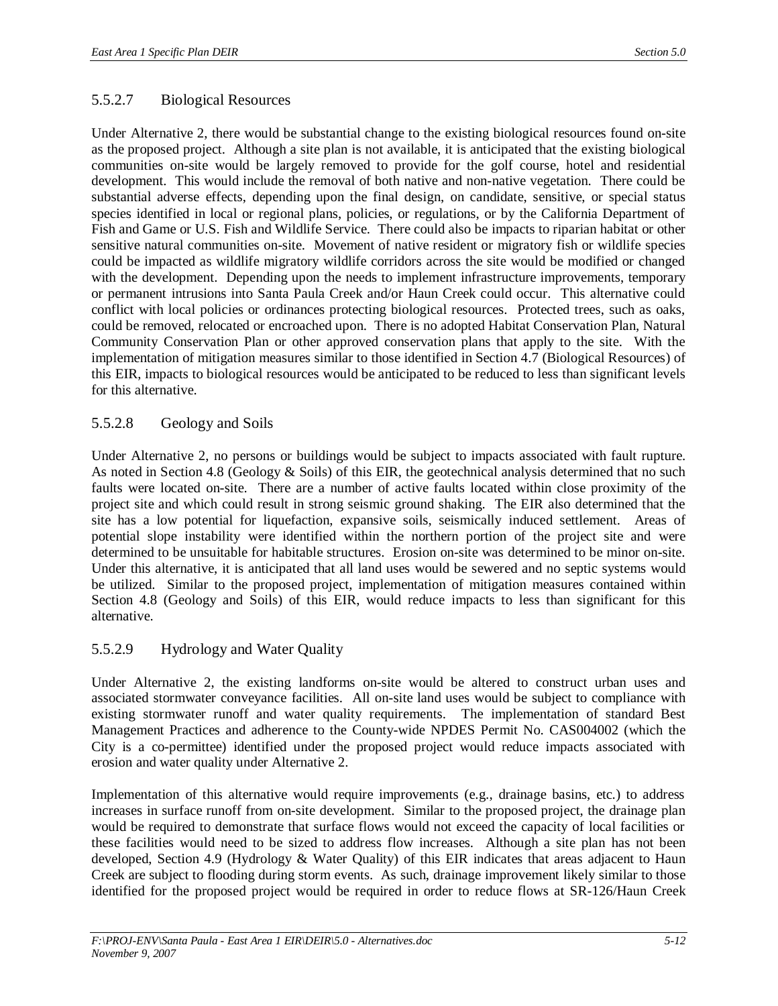### 5.5.2.7 Biological Resources

Under Alternative 2, there would be substantial change to the existing biological resources found on-site as the proposed project. Although a site plan is not available, it is anticipated that the existing biological communities on-site would be largely removed to provide for the golf course, hotel and residential development. This would include the removal of both native and non-native vegetation. There could be substantial adverse effects, depending upon the final design, on candidate, sensitive, or special status species identified in local or regional plans, policies, or regulations, or by the California Department of Fish and Game or U.S. Fish and Wildlife Service. There could also be impacts to riparian habitat or other sensitive natural communities on-site. Movement of native resident or migratory fish or wildlife species could be impacted as wildlife migratory wildlife corridors across the site would be modified or changed with the development. Depending upon the needs to implement infrastructure improvements, temporary or permanent intrusions into Santa Paula Creek and/or Haun Creek could occur. This alternative could conflict with local policies or ordinances protecting biological resources. Protected trees, such as oaks, could be removed, relocated or encroached upon. There is no adopted Habitat Conservation Plan, Natural Community Conservation Plan or other approved conservation plans that apply to the site. With the implementation of mitigation measures similar to those identified in Section 4.7 (Biological Resources) of this EIR, impacts to biological resources would be anticipated to be reduced to less than significant levels for this alternative.

### 5.5.2.8 Geology and Soils

Under Alternative 2, no persons or buildings would be subject to impacts associated with fault rupture. As noted in Section 4.8 (Geology & Soils) of this EIR, the geotechnical analysis determined that no such faults were located on-site. There are a number of active faults located within close proximity of the project site and which could result in strong seismic ground shaking. The EIR also determined that the site has a low potential for liquefaction, expansive soils, seismically induced settlement. Areas of potential slope instability were identified within the northern portion of the project site and were determined to be unsuitable for habitable structures. Erosion on-site was determined to be minor on-site. Under this alternative, it is anticipated that all land uses would be sewered and no septic systems would be utilized. Similar to the proposed project, implementation of mitigation measures contained within Section 4.8 (Geology and Soils) of this EIR, would reduce impacts to less than significant for this alternative.

### 5.5.2.9 Hydrology and Water Quality

Under Alternative 2, the existing landforms on-site would be altered to construct urban uses and associated stormwater conveyance facilities. All on-site land uses would be subject to compliance with existing stormwater runoff and water quality requirements. The implementation of standard Best Management Practices and adherence to the County-wide NPDES Permit No. CAS004002 (which the City is a co-permittee) identified under the proposed project would reduce impacts associated with erosion and water quality under Alternative 2.

Implementation of this alternative would require improvements (e.g., drainage basins, etc.) to address increases in surface runoff from on-site development. Similar to the proposed project, the drainage plan would be required to demonstrate that surface flows would not exceed the capacity of local facilities or these facilities would need to be sized to address flow increases. Although a site plan has not been developed, Section 4.9 (Hydrology & Water Quality) of this EIR indicates that areas adjacent to Haun Creek are subject to flooding during storm events. As such, drainage improvement likely similar to those identified for the proposed project would be required in order to reduce flows at SR-126/Haun Creek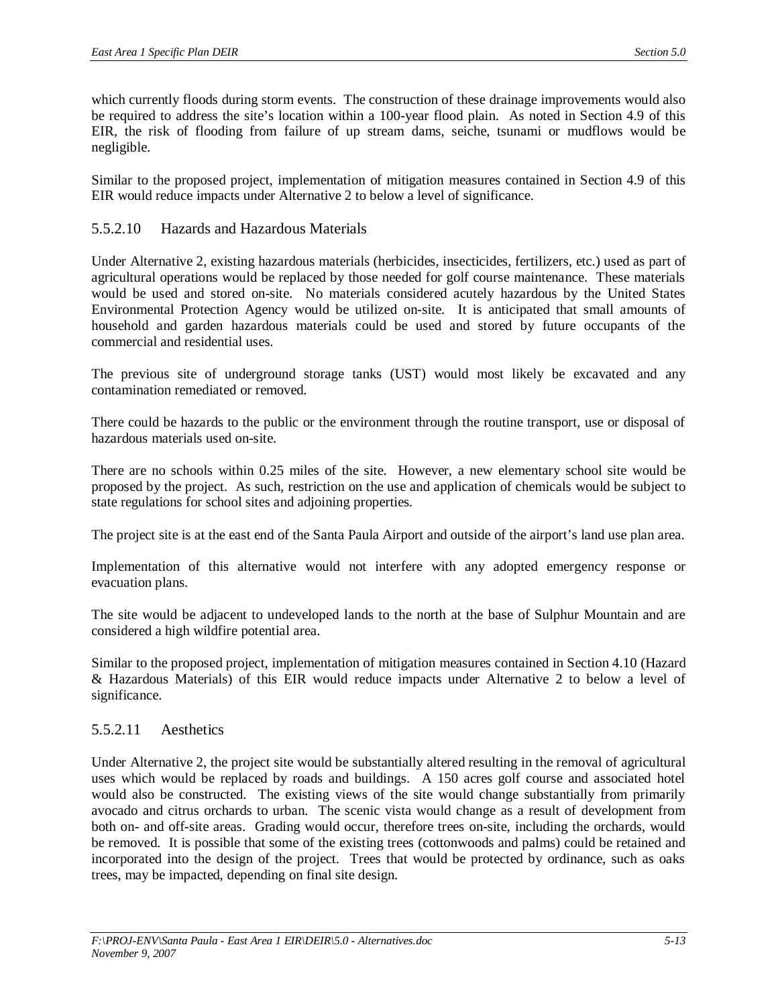which currently floods during storm events. The construction of these drainage improvements would also be required to address the site's location within a 100-year flood plain. As noted in Section 4.9 of this EIR, the risk of flooding from failure of up stream dams, seiche, tsunami or mudflows would be negligible.

Similar to the proposed project, implementation of mitigation measures contained in Section 4.9 of this EIR would reduce impacts under Alternative 2 to below a level of significance.

### 5.5.2.10 Hazards and Hazardous Materials

Under Alternative 2, existing hazardous materials (herbicides, insecticides, fertilizers, etc.) used as part of agricultural operations would be replaced by those needed for golf course maintenance. These materials would be used and stored on-site. No materials considered acutely hazardous by the United States Environmental Protection Agency would be utilized on-site. It is anticipated that small amounts of household and garden hazardous materials could be used and stored by future occupants of the commercial and residential uses.

The previous site of underground storage tanks (UST) would most likely be excavated and any contamination remediated or removed.

There could be hazards to the public or the environment through the routine transport, use or disposal of hazardous materials used on-site.

There are no schools within 0.25 miles of the site. However, a new elementary school site would be proposed by the project. As such, restriction on the use and application of chemicals would be subject to state regulations for school sites and adjoining properties.

The project site is at the east end of the Santa Paula Airport and outside of the airport's land use plan area.

Implementation of this alternative would not interfere with any adopted emergency response or evacuation plans.

The site would be adjacent to undeveloped lands to the north at the base of Sulphur Mountain and are considered a high wildfire potential area.

Similar to the proposed project, implementation of mitigation measures contained in Section 4.10 (Hazard & Hazardous Materials) of this EIR would reduce impacts under Alternative 2 to below a level of significance.

### 5.5.2.11 Aesthetics

Under Alternative 2, the project site would be substantially altered resulting in the removal of agricultural uses which would be replaced by roads and buildings. A 150 acres golf course and associated hotel would also be constructed. The existing views of the site would change substantially from primarily avocado and citrus orchards to urban. The scenic vista would change as a result of development from both on- and off-site areas. Grading would occur, therefore trees on-site, including the orchards, would be removed. It is possible that some of the existing trees (cottonwoods and palms) could be retained and incorporated into the design of the project. Trees that would be protected by ordinance, such as oaks trees, may be impacted, depending on final site design.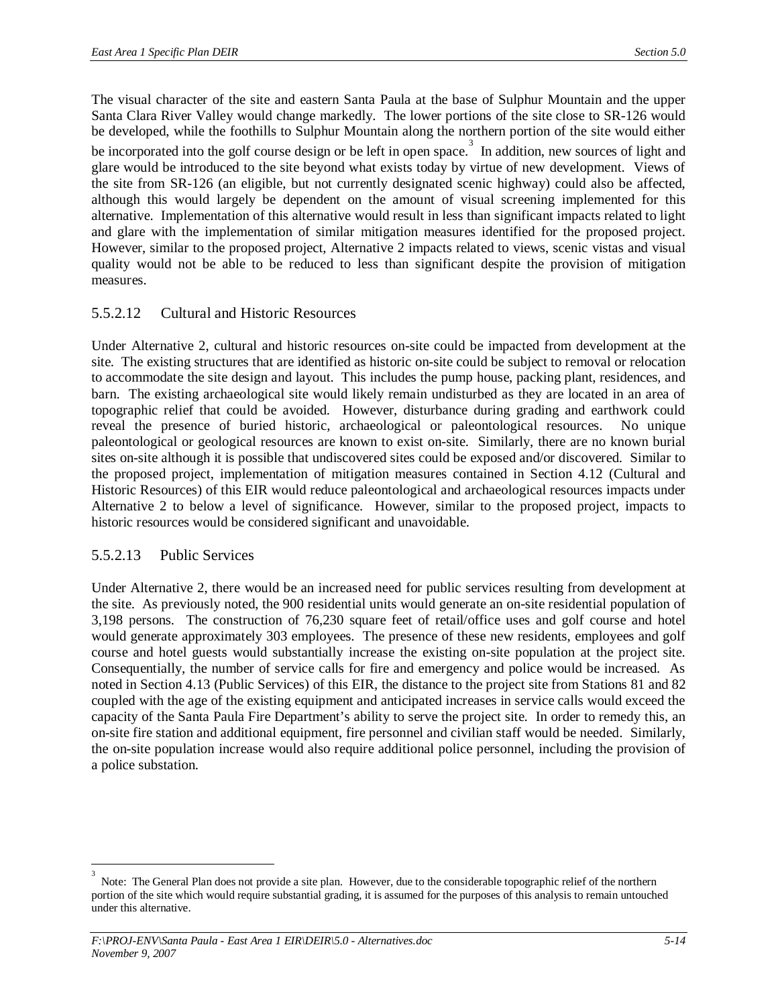The visual character of the site and eastern Santa Paula at the base of Sulphur Mountain and the upper Santa Clara River Valley would change markedly. The lower portions of the site close to SR-126 would be developed, while the foothills to Sulphur Mountain along the northern portion of the site would either be incorporated into the golf course design or be left in open space.<sup>3</sup> In addition, new sources of light and glare would be introduced to the site beyond what exists today by virtue of new development. Views of the site from SR-126 (an eligible, but not currently designated scenic highway) could also be affected, although this would largely be dependent on the amount of visual screening implemented for this alternative. Implementation of this alternative would result in less than significant impacts related to light and glare with the implementation of similar mitigation measures identified for the proposed project. However, similar to the proposed project, Alternative 2 impacts related to views, scenic vistas and visual quality would not be able to be reduced to less than significant despite the provision of mitigation measures.

### 5.5.2.12 Cultural and Historic Resources

Under Alternative 2, cultural and historic resources on-site could be impacted from development at the site. The existing structures that are identified as historic on-site could be subject to removal or relocation to accommodate the site design and layout. This includes the pump house, packing plant, residences, and barn. The existing archaeological site would likely remain undisturbed as they are located in an area of topographic relief that could be avoided. However, disturbance during grading and earthwork could reveal the presence of buried historic, archaeological or paleontological resources. No unique paleontological or geological resources are known to exist on-site. Similarly, there are no known burial sites on-site although it is possible that undiscovered sites could be exposed and/or discovered. Similar to the proposed project, implementation of mitigation measures contained in Section 4.12 (Cultural and Historic Resources) of this EIR would reduce paleontological and archaeological resources impacts under Alternative 2 to below a level of significance. However, similar to the proposed project, impacts to historic resources would be considered significant and unavoidable.

### 5.5.2.13 Public Services

Under Alternative 2, there would be an increased need for public services resulting from development at the site. As previously noted, the 900 residential units would generate an on-site residential population of 3,198 persons. The construction of 76,230 square feet of retail/office uses and golf course and hotel would generate approximately 303 employees. The presence of these new residents, employees and golf course and hotel guests would substantially increase the existing on-site population at the project site. Consequentially, the number of service calls for fire and emergency and police would be increased. As noted in Section 4.13 (Public Services) of this EIR, the distance to the project site from Stations 81 and 82 coupled with the age of the existing equipment and anticipated increases in service calls would exceed the capacity of the Santa Paula Fire Department's ability to serve the project site. In order to remedy this, an on-site fire station and additional equipment, fire personnel and civilian staff would be needed. Similarly, the on-site population increase would also require additional police personnel, including the provision of a police substation.

<sup>3</sup> Note: The General Plan does not provide a site plan. However, due to the considerable topographic relief of the northern portion of the site which would require substantial grading, it is assumed for the purposes of this analysis to remain untouched under this alternative.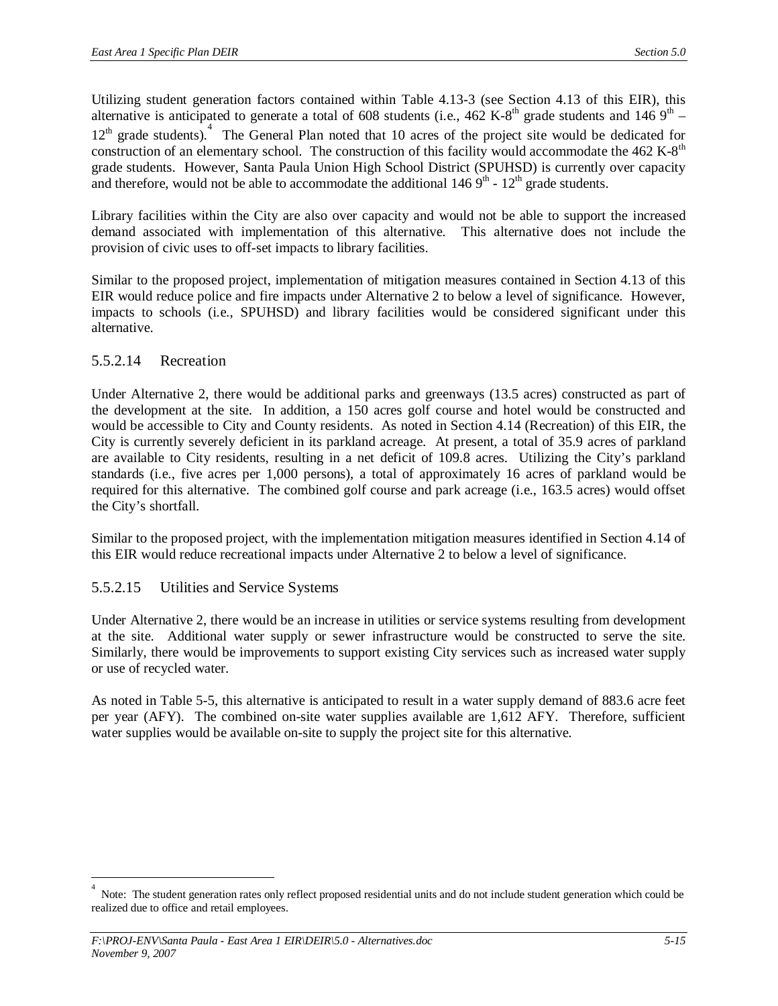Utilizing student generation factors contained within Table 4.13-3 (see Section 4.13 of this EIR), this alternative is anticipated to generate a total of 608 students (i.e.,  $462$  K-8<sup>th</sup> grade students and  $146$  9<sup>th</sup> – 12<sup>th</sup> grade students).<sup>4</sup> The General Plan noted that 10 acres of the project site would be dedicated for construction of an elementary school. The construction of this facility would accommodate the 462 K-8<sup>th</sup> grade students. However, Santa Paula Union High School District (SPUHSD) is currently over capacity and therefore, would not be able to accommodate the additional  $1469<sup>th</sup>$  -  $12<sup>th</sup>$  grade students.

Library facilities within the City are also over capacity and would not be able to support the increased demand associated with implementation of this alternative. This alternative does not include the provision of civic uses to off-set impacts to library facilities.

Similar to the proposed project, implementation of mitigation measures contained in Section 4.13 of this EIR would reduce police and fire impacts under Alternative 2 to below a level of significance. However, impacts to schools (i.e., SPUHSD) and library facilities would be considered significant under this alternative.

### 5.5.2.14 Recreation

Under Alternative 2, there would be additional parks and greenways (13.5 acres) constructed as part of the development at the site. In addition, a 150 acres golf course and hotel would be constructed and would be accessible to City and County residents. As noted in Section 4.14 (Recreation) of this EIR, the City is currently severely deficient in its parkland acreage. At present, a total of 35.9 acres of parkland are available to City residents, resulting in a net deficit of 109.8 acres. Utilizing the City's parkland standards (i.e., five acres per 1,000 persons), a total of approximately 16 acres of parkland would be required for this alternative. The combined golf course and park acreage (i.e., 163.5 acres) would offset the City's shortfall.

Similar to the proposed project, with the implementation mitigation measures identified in Section 4.14 of this EIR would reduce recreational impacts under Alternative 2 to below a level of significance.

### 5.5.2.15 Utilities and Service Systems

Under Alternative 2, there would be an increase in utilities or service systems resulting from development at the site. Additional water supply or sewer infrastructure would be constructed to serve the site. Similarly, there would be improvements to support existing City services such as increased water supply or use of recycled water.

As noted in Table 5-5, this alternative is anticipated to result in a water supply demand of 883.6 acre feet per year (AFY). The combined on-site water supplies available are 1,612 AFY. Therefore, sufficient water supplies would be available on-site to supply the project site for this alternative.

<sup>4</sup> Note: The student generation rates only reflect proposed residential units and do not include student generation which could be realized due to office and retail employees.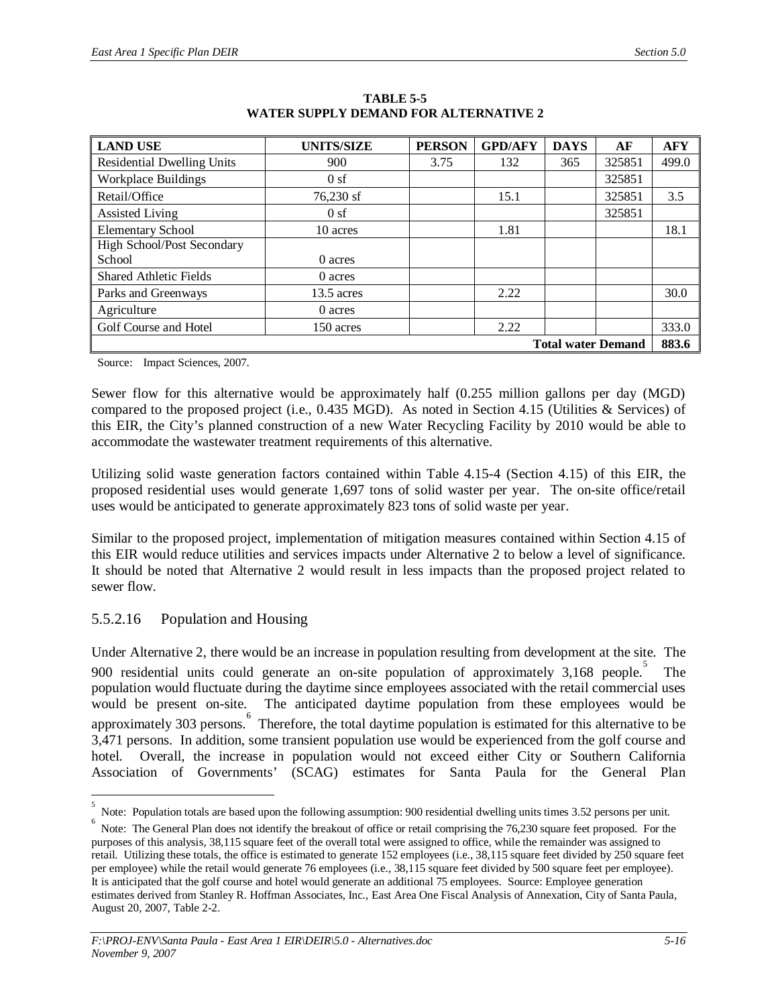| <b>LAND USE</b>                   | <b>UNITS/SIZE</b> | <b>PERSON</b> | <b>GPD/AFY</b> | <b>DAYS</b>               | AF     | <b>AFY</b> |
|-----------------------------------|-------------------|---------------|----------------|---------------------------|--------|------------|
| <b>Residential Dwelling Units</b> | 900               | 3.75          | 132            | 365                       | 325851 | 499.0      |
| <b>Workplace Buildings</b>        | 0sf               |               |                |                           | 325851 |            |
| Retail/Office                     | 76,230 sf         |               | 15.1           |                           | 325851 | 3.5        |
| <b>Assisted Living</b>            | 0sf               |               |                |                           | 325851 |            |
| <b>Elementary School</b>          | 10 acres          |               | 1.81           |                           |        | 18.1       |
| High School/Post Secondary        |                   |               |                |                           |        |            |
| School                            | 0 acres           |               |                |                           |        |            |
| <b>Shared Athletic Fields</b>     | 0 acres           |               |                |                           |        |            |
| Parks and Greenways               | $13.5$ acres      |               | 2.22           |                           |        | 30.0       |
| Agriculture                       | 0 acres           |               |                |                           |        |            |
| Golf Course and Hotel             | 150 acres         |               | 2.22           |                           |        | 333.0      |
|                                   |                   |               |                | <b>Total water Demand</b> |        | 883.6      |

**TABLE 5-5 WATER SUPPLY DEMAND FOR ALTERNATIVE 2**

Source: Impact Sciences, 2007.

Sewer flow for this alternative would be approximately half (0.255 million gallons per day (MGD) compared to the proposed project (i.e., 0.435 MGD). As noted in Section 4.15 (Utilities & Services) of this EIR, the City's planned construction of a new Water Recycling Facility by 2010 would be able to accommodate the wastewater treatment requirements of this alternative.

Utilizing solid waste generation factors contained within Table 4.15-4 (Section 4.15) of this EIR, the proposed residential uses would generate 1,697 tons of solid waster per year. The on-site office/retail uses would be anticipated to generate approximately 823 tons of solid waste per year.

Similar to the proposed project, implementation of mitigation measures contained within Section 4.15 of this EIR would reduce utilities and services impacts under Alternative 2 to below a level of significance. It should be noted that Alternative 2 would result in less impacts than the proposed project related to sewer flow.

### 5.5.2.16 Population and Housing

Under Alternative 2, there would be an increase in population resulting from development at the site. The 900 residential units could generate an on-site population of approximately 3,168 people. 5 The population would fluctuate during the daytime since employees associated with the retail commercial uses would be present on-site. The anticipated daytime population from these employees would be approximately 303 persons. Therefore, the total daytime population is estimated for this alternative to be 3,471 persons. In addition, some transient population use would be experienced from the golf course and hotel. Overall, the increase in population would not exceed either City or Southern California Association of Governments' (SCAG) estimates for Santa Paula for the General Plan

<sup>5</sup> Note: Population totals are based upon the following assumption: 900 residential dwelling units times 3.52 persons per unit.

<sup>6</sup> Note: The General Plan does not identify the breakout of office or retail comprising the 76,230 square feet proposed. For the purposes of this analysis, 38,115 square feet of the overall total were assigned to office, while the remainder was assigned to retail. Utilizing these totals, the office is estimated to generate 152 employees (i.e., 38,115 square feet divided by 250 square feet per employee) while the retail would generate 76 employees (i.e., 38,115 square feet divided by 500 square feet per employee). It is anticipated that the golf course and hotel would generate an additional 75 employees. Source: Employee generation estimates derived from Stanley R. Hoffman Associates, Inc., East Area One Fiscal Analysis of Annexation, City of Santa Paula, August 20, 2007, Table 2-2.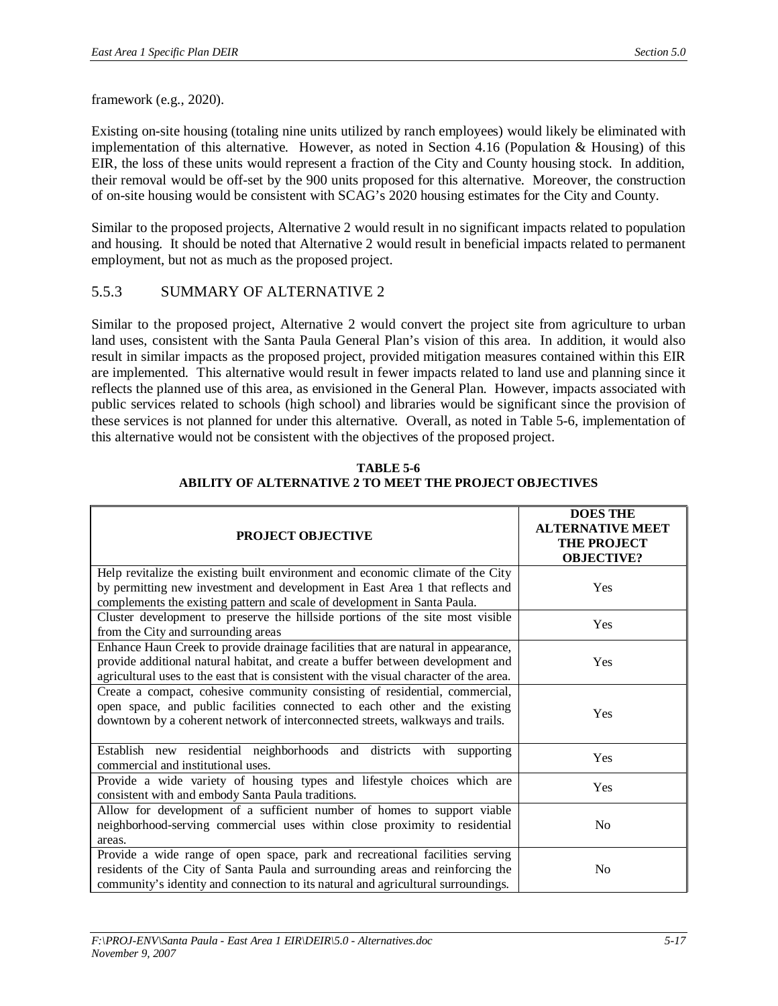framework (e.g., 2020).

Existing on-site housing (totaling nine units utilized by ranch employees) would likely be eliminated with implementation of this alternative. However, as noted in Section 4.16 (Population & Housing) of this EIR, the loss of these units would represent a fraction of the City and County housing stock. In addition, their removal would be off-set by the 900 units proposed for this alternative. Moreover, the construction of on-site housing would be consistent with SCAG's 2020 housing estimates for the City and County.

Similar to the proposed projects, Alternative 2 would result in no significant impacts related to population and housing. It should be noted that Alternative 2 would result in beneficial impacts related to permanent employment, but not as much as the proposed project.

### 5.5.3 SUMMARY OF ALTERNATIVE 2

Similar to the proposed project, Alternative 2 would convert the project site from agriculture to urban land uses, consistent with the Santa Paula General Plan's vision of this area. In addition, it would also result in similar impacts as the proposed project, provided mitigation measures contained within this EIR are implemented. This alternative would result in fewer impacts related to land use and planning since it reflects the planned use of this area, as envisioned in the General Plan. However, impacts associated with public services related to schools (high school) and libraries would be significant since the provision of these services is not planned for under this alternative. Overall, as noted in Table 5-6, implementation of this alternative would not be consistent with the objectives of the proposed project.

| PROJECT OBJECTIVE                                                                                                                                                                                                                                               | <b>DOES THE</b><br><b>ALTERNATIVE MEET</b><br><b>THE PROJECT</b><br><b>OBJECTIVE?</b> |
|-----------------------------------------------------------------------------------------------------------------------------------------------------------------------------------------------------------------------------------------------------------------|---------------------------------------------------------------------------------------|
| Help revitalize the existing built environment and economic climate of the City<br>by permitting new investment and development in East Area 1 that reflects and<br>complements the existing pattern and scale of development in Santa Paula.                   | <b>Yes</b>                                                                            |
| Cluster development to preserve the hillside portions of the site most visible<br>from the City and surrounding areas                                                                                                                                           | Yes                                                                                   |
| Enhance Haun Creek to provide drainage facilities that are natural in appearance,<br>provide additional natural habitat, and create a buffer between development and<br>agricultural uses to the east that is consistent with the visual character of the area. | <b>Yes</b>                                                                            |
| Create a compact, cohesive community consisting of residential, commercial,<br>open space, and public facilities connected to each other and the existing<br>downtown by a coherent network of interconnected streets, walkways and trails.                     | Yes                                                                                   |
| Establish new residential neighborhoods and districts with supporting<br>commercial and institutional uses.                                                                                                                                                     | Yes                                                                                   |
| Provide a wide variety of housing types and lifestyle choices which are<br>consistent with and embody Santa Paula traditions.                                                                                                                                   | Yes                                                                                   |
| Allow for development of a sufficient number of homes to support viable<br>neighborhood-serving commercial uses within close proximity to residential<br>areas.                                                                                                 | N <sub>0</sub>                                                                        |
| Provide a wide range of open space, park and recreational facilities serving<br>residents of the City of Santa Paula and surrounding areas and reinforcing the<br>community's identity and connection to its natural and agricultural surroundings.             | N <sub>0</sub>                                                                        |

**TABLE 5-6 ABILITY OF ALTERNATIVE 2 TO MEET THE PROJECT OBJECTIVES**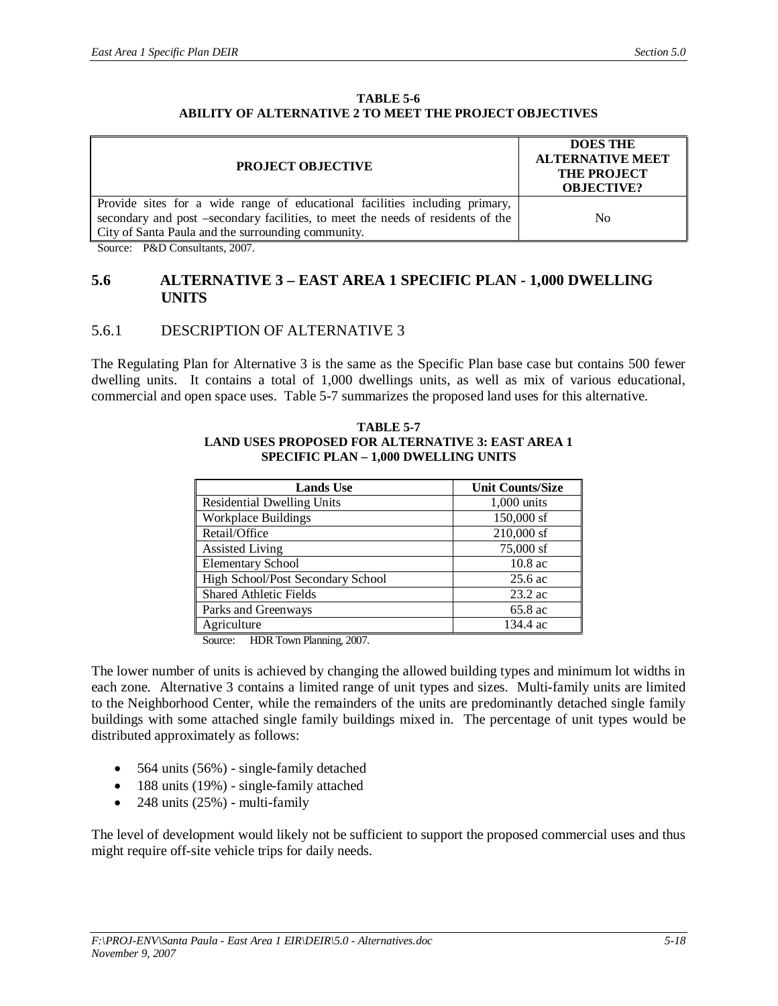#### **TABLE 5-6 ABILITY OF ALTERNATIVE 2 TO MEET THE PROJECT OBJECTIVES**

| <b>PROJECT OBJECTIVE</b>                                                                                                                                                                                             | <b>DOES THE</b><br><b>ALTERNATIVE MEET</b><br><b>THE PROJECT</b><br><b>OBJECTIVE?</b> |
|----------------------------------------------------------------------------------------------------------------------------------------------------------------------------------------------------------------------|---------------------------------------------------------------------------------------|
| Provide sites for a wide range of educational facilities including primary,<br>secondary and post –secondary facilities, to meet the needs of residents of the<br>City of Santa Paula and the surrounding community. | No                                                                                    |

Source: P&D Consultants, 2007.

#### **5.6 ALTERNATIVE 3 – EAST AREA 1 SPECIFIC PLAN - 1,000 DWELLING UNITS**

### 5.6.1 DESCRIPTION OF ALTERNATIVE 3

The Regulating Plan for Alternative 3 is the same as the Specific Plan base case but contains 500 fewer dwelling units. It contains a total of 1,000 dwellings units, as well as mix of various educational, commercial and open space uses. Table 5-7 summarizes the proposed land uses for this alternative.

#### **TABLE 5-7 LAND USES PROPOSED FOR ALTERNATIVE 3: EAST AREA 1 SPECIFIC PLAN – 1,000 DWELLING UNITS**

| <b>Lands Use</b>                  | <b>Unit Counts/Size</b> |
|-----------------------------------|-------------------------|
| <b>Residential Dwelling Units</b> | 1,000 units             |
| <b>Workplace Buildings</b>        | 150,000 sf              |
| Retail/Office                     | 210,000 sf              |
| <b>Assisted Living</b>            | 75,000 sf               |
| <b>Elementary School</b>          | $10.8$ ac               |
| High School/Post Secondary School | $25.6$ ac               |
| <b>Shared Athletic Fields</b>     | $23.2$ ac               |
| Parks and Greenways               | 65.8 ac                 |
| Agriculture                       | 134.4 ac                |

Source: HDR Town Planning, 2007.

The lower number of units is achieved by changing the allowed building types and minimum lot widths in each zone. Alternative 3 contains a limited range of unit types and sizes. Multi-family units are limited to the Neighborhood Center, while the remainders of the units are predominantly detached single family buildings with some attached single family buildings mixed in. The percentage of unit types would be distributed approximately as follows:

- $\bullet$  564 units (56%) single-family detached
- $\bullet$  188 units (19%) single-family attached
- x 248 units (25%) multi-family

The level of development would likely not be sufficient to support the proposed commercial uses and thus might require off-site vehicle trips for daily needs.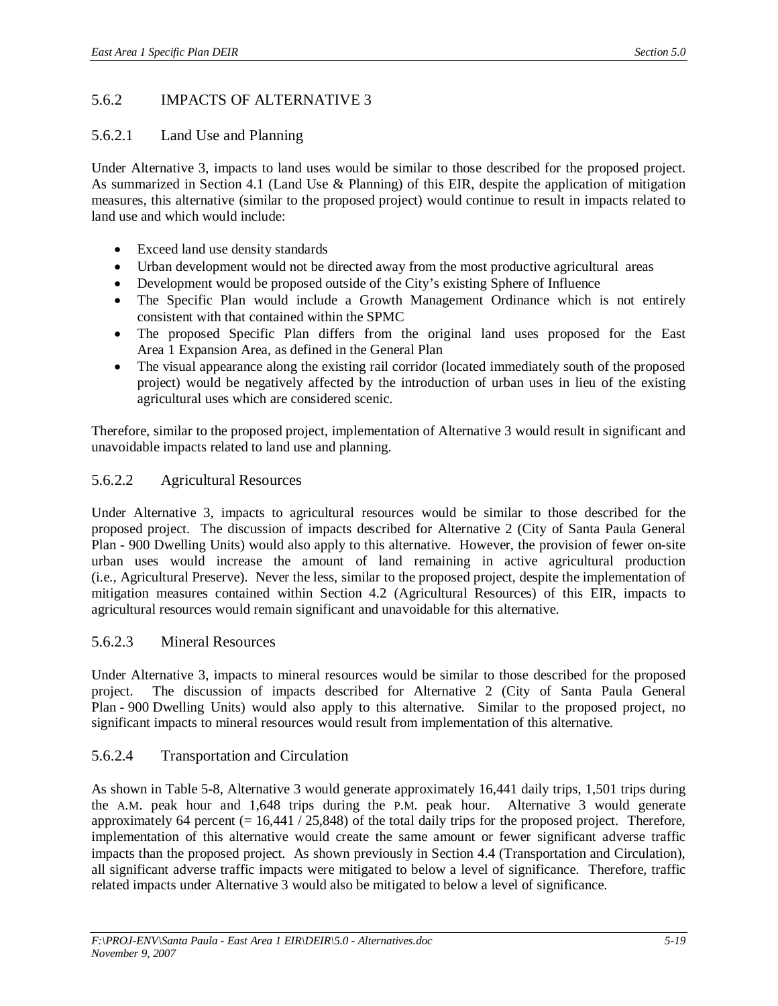## 5.6.2 IMPACTS OF ALTERNATIVE 3

### 5.6.2.1 Land Use and Planning

Under Alternative 3, impacts to land uses would be similar to those described for the proposed project. As summarized in Section 4.1 (Land Use & Planning) of this EIR, despite the application of mitigation measures, this alternative (similar to the proposed project) would continue to result in impacts related to land use and which would include:

- Exceed land use density standards
- Urban development would not be directed away from the most productive agricultural areas
- Development would be proposed outside of the City's existing Sphere of Influence
- The Specific Plan would include a Growth Management Ordinance which is not entirely consistent with that contained within the SPMC
- The proposed Specific Plan differs from the original land uses proposed for the East Area 1 Expansion Area, as defined in the General Plan
- The visual appearance along the existing rail corridor (located immediately south of the proposed project) would be negatively affected by the introduction of urban uses in lieu of the existing agricultural uses which are considered scenic.

Therefore, similar to the proposed project, implementation of Alternative 3 would result in significant and unavoidable impacts related to land use and planning.

### 5.6.2.2 Agricultural Resources

Under Alternative 3, impacts to agricultural resources would be similar to those described for the proposed project. The discussion of impacts described for Alternative 2 (City of Santa Paula General Plan - 900 Dwelling Units) would also apply to this alternative. However, the provision of fewer on-site urban uses would increase the amount of land remaining in active agricultural production (i.e., Agricultural Preserve). Never the less, similar to the proposed project, despite the implementation of mitigation measures contained within Section 4.2 (Agricultural Resources) of this EIR, impacts to agricultural resources would remain significant and unavoidable for this alternative.

### 5.6.2.3 Mineral Resources

Under Alternative 3, impacts to mineral resources would be similar to those described for the proposed project. The discussion of impacts described for Alternative 2 (City of Santa Paula General Plan - 900 Dwelling Units) would also apply to this alternative. Similar to the proposed project, no significant impacts to mineral resources would result from implementation of this alternative.

### 5.6.2.4 Transportation and Circulation

As shown in Table 5-8, Alternative 3 would generate approximately 16,441 daily trips, 1,501 trips during the A.M. peak hour and 1,648 trips during the P.M. peak hour. Alternative 3 would generate approximately 64 percent  $(= 16,441 / 25,848)$  of the total daily trips for the proposed project. Therefore, implementation of this alternative would create the same amount or fewer significant adverse traffic impacts than the proposed project. As shown previously in Section 4.4 (Transportation and Circulation), all significant adverse traffic impacts were mitigated to below a level of significance. Therefore, traffic related impacts under Alternative 3 would also be mitigated to below a level of significance.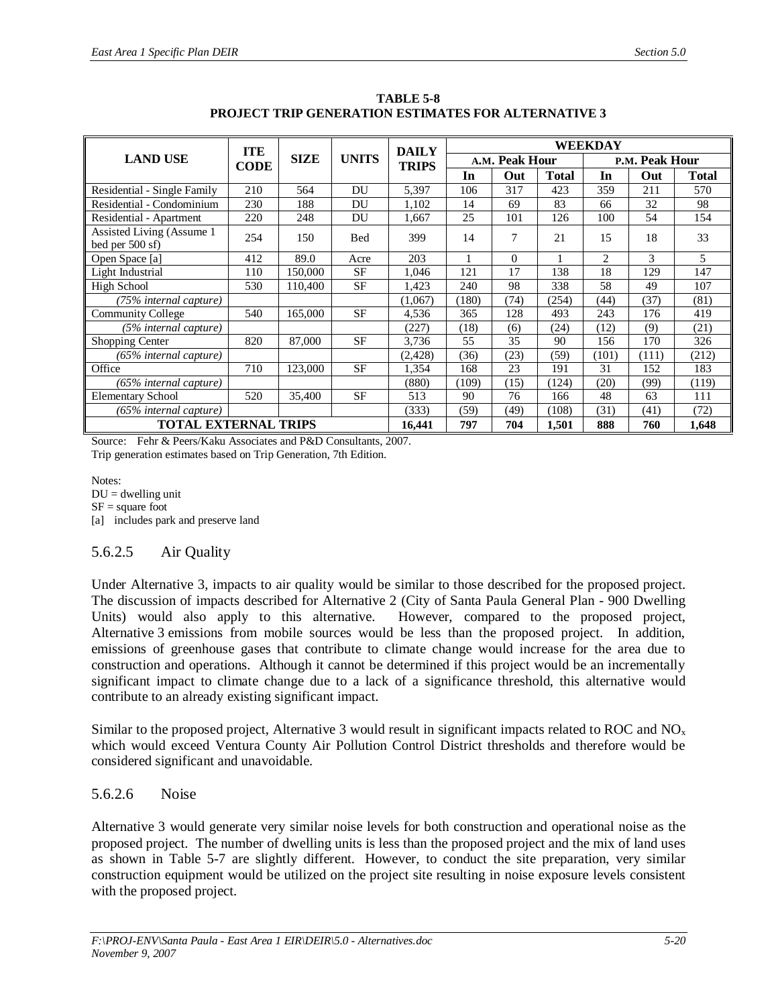|                                              | <b>ITE</b> |             |                              | <b>DAILY</b> |       |                | WEEKDAY      |       |                |              |
|----------------------------------------------|------------|-------------|------------------------------|--------------|-------|----------------|--------------|-------|----------------|--------------|
| <b>LAND USE</b>                              | CODE       | <b>SIZE</b> | <b>UNITS</b><br><b>TRIPS</b> |              |       | A.M. Peak Hour |              |       | P.M. Peak Hour |              |
|                                              |            |             |                              |              | In    | Out            | <b>Total</b> | In    | Out            | <b>Total</b> |
| Residential - Single Family                  | 210        | 564         | DU                           | 5,397        | 106   | 317            | 423          | 359   | 211            | 570          |
| Residential - Condominium                    | 230        | 188         | DU                           | 1,102        | 14    | 69             | 83           | 66    | 32             | 98           |
| Residential - Apartment                      | 220        | 248         | DU                           | 1,667        | 25    | 101            | 126          | 100   | 54             | 154          |
| Assisted Living (Assume 1<br>bed per 500 sf) | 254        | 150         | <b>Bed</b>                   | 399          | 14    | $\tau$         | 21           | 15    | 18             | 33           |
| Open Space [a]                               | 412        | 89.0        | Acre                         | 203          |       | $\Omega$       |              | 2     | 3              | 5            |
| Light Industrial                             | 110        | 150.000     | SF                           | 1.046        | 121   | 17             | 138          | 18    | 129            | 147          |
| High School                                  | 530        | 110.400     | <b>SF</b>                    | 1.423        | 240   | 98             | 338          | 58    | 49             | 107          |
| (75% internal capture)                       |            |             |                              | (1,067)      | (180) | (74)           | (254)        | (44)  | (37)           | (81)         |
| <b>Community College</b>                     | 540        | 165,000     | <b>SF</b>                    | 4,536        | 365   | 128            | 493          | 243   | 176            | 419          |
| (5% internal capture)                        |            |             |                              | (227)        | (18)  | (6)            | (24)         | (12)  | (9)            | (21)         |
| Shopping Center                              | 820        | 87,000      | <b>SF</b>                    | 3,736        | 55    | 35             | 90           | 156   | 170            | 326          |
| $(65\%$ internal capture)                    |            |             |                              | (2, 428)     | (36)  | (23)           | (59)         | (101) | (111)          | (212)        |
| Office                                       | 710        | 123,000     | <b>SF</b>                    | 1,354        | 168   | 23             | 191          | 31    | 152            | 183          |
| $(65\%$ internal capture)                    |            |             |                              | (880)        | (109) | (15)           | (124)        | (20)  | (99)           | (119)        |
| <b>Elementary School</b>                     | 520        | 35,400      | <b>SF</b>                    | 513          | 90    | 76             | 166          | 48    | 63             | 111          |
| (65% internal capture)                       |            |             |                              | (333)        | (59)  | (49)           | (108)        | (31)  | (41)           | (72)         |
| <b>TOTAL EXTERNAL TRIPS</b>                  |            |             |                              | 16,441       | 797   | 704            | 1,501        | 888   | 760            | 1,648        |

**TABLE 5-8 PROJECT TRIP GENERATION ESTIMATES FOR ALTERNATIVE 3**

Source: Fehr & Peers/Kaku Associates and P&D Consultants, 2007. Trip generation estimates based on Trip Generation, 7th Edition.

Notes:  $DU =$  dwelling unit  $SF = square$  foot [a] includes park and preserve land

### 5.6.2.5 Air Quality

Under Alternative 3, impacts to air quality would be similar to those described for the proposed project. The discussion of impacts described for Alternative 2 (City of Santa Paula General Plan - 900 Dwelling Units) would also apply to this alternative. However, compared to the proposed project, Alternative 3 emissions from mobile sources would be less than the proposed project. In addition, emissions of greenhouse gases that contribute to climate change would increase for the area due to construction and operations. Although it cannot be determined if this project would be an incrementally significant impact to climate change due to a lack of a significance threshold, this alternative would contribute to an already existing significant impact.

Similar to the proposed project, Alternative 3 would result in significant impacts related to ROC and  $NO<sub>x</sub>$ which would exceed Ventura County Air Pollution Control District thresholds and therefore would be considered significant and unavoidable.

### 5.6.2.6 Noise

Alternative 3 would generate very similar noise levels for both construction and operational noise as the proposed project. The number of dwelling units is less than the proposed project and the mix of land uses as shown in Table 5-7 are slightly different. However, to conduct the site preparation, very similar construction equipment would be utilized on the project site resulting in noise exposure levels consistent with the proposed project.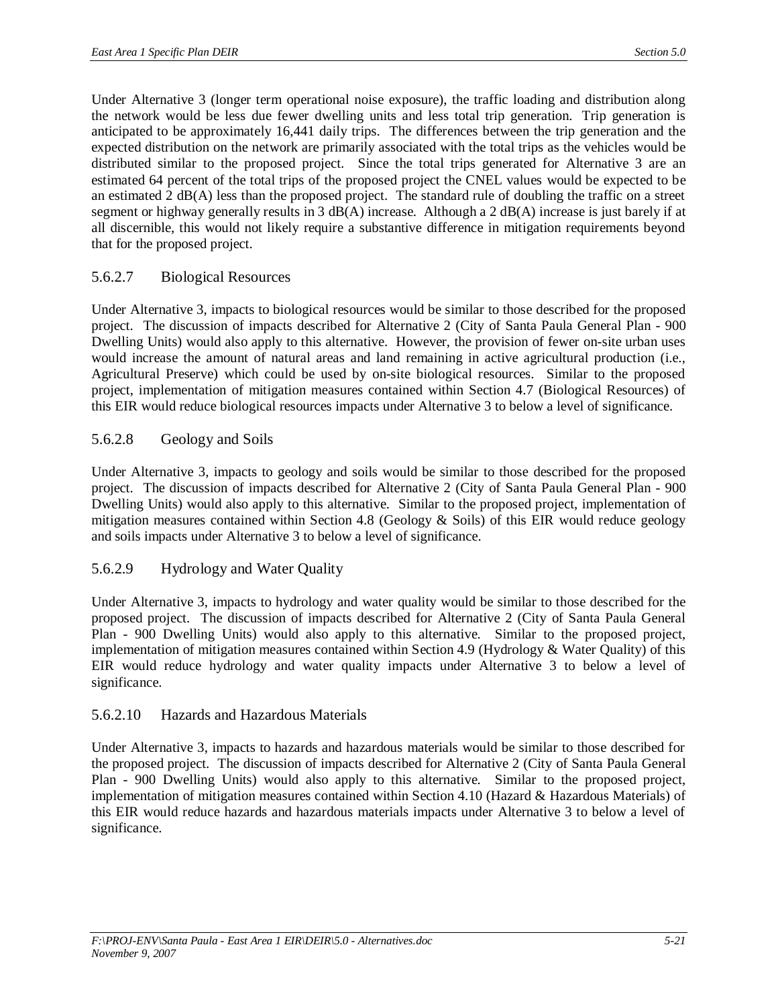Under Alternative 3 (longer term operational noise exposure), the traffic loading and distribution along the network would be less due fewer dwelling units and less total trip generation. Trip generation is anticipated to be approximately 16,441 daily trips. The differences between the trip generation and the expected distribution on the network are primarily associated with the total trips as the vehicles would be distributed similar to the proposed project. Since the total trips generated for Alternative 3 are an estimated 64 percent of the total trips of the proposed project the CNEL values would be expected to be an estimated 2 dB(A) less than the proposed project. The standard rule of doubling the traffic on a street segment or highway generally results in 3 dB(A) increase. Although a 2 dB(A) increase is just barely if at all discernible, this would not likely require a substantive difference in mitigation requirements beyond that for the proposed project.

### 5.6.2.7 Biological Resources

Under Alternative 3, impacts to biological resources would be similar to those described for the proposed project. The discussion of impacts described for Alternative 2 (City of Santa Paula General Plan - 900 Dwelling Units) would also apply to this alternative. However, the provision of fewer on-site urban uses would increase the amount of natural areas and land remaining in active agricultural production (i.e., Agricultural Preserve) which could be used by on-site biological resources. Similar to the proposed project, implementation of mitigation measures contained within Section 4.7 (Biological Resources) of this EIR would reduce biological resources impacts under Alternative 3 to below a level of significance.

### 5.6.2.8 Geology and Soils

Under Alternative 3, impacts to geology and soils would be similar to those described for the proposed project. The discussion of impacts described for Alternative 2 (City of Santa Paula General Plan - 900 Dwelling Units) would also apply to this alternative. Similar to the proposed project, implementation of mitigation measures contained within Section 4.8 (Geology  $\&$  Soils) of this EIR would reduce geology and soils impacts under Alternative 3 to below a level of significance.

### 5.6.2.9 Hydrology and Water Quality

Under Alternative 3, impacts to hydrology and water quality would be similar to those described for the proposed project. The discussion of impacts described for Alternative 2 (City of Santa Paula General Plan - 900 Dwelling Units) would also apply to this alternative. Similar to the proposed project, implementation of mitigation measures contained within Section 4.9 (Hydrology & Water Quality) of this EIR would reduce hydrology and water quality impacts under Alternative 3 to below a level of significance.

### 5.6.2.10 Hazards and Hazardous Materials

Under Alternative 3, impacts to hazards and hazardous materials would be similar to those described for the proposed project. The discussion of impacts described for Alternative 2 (City of Santa Paula General Plan - 900 Dwelling Units) would also apply to this alternative. Similar to the proposed project, implementation of mitigation measures contained within Section 4.10 (Hazard & Hazardous Materials) of this EIR would reduce hazards and hazardous materials impacts under Alternative 3 to below a level of significance.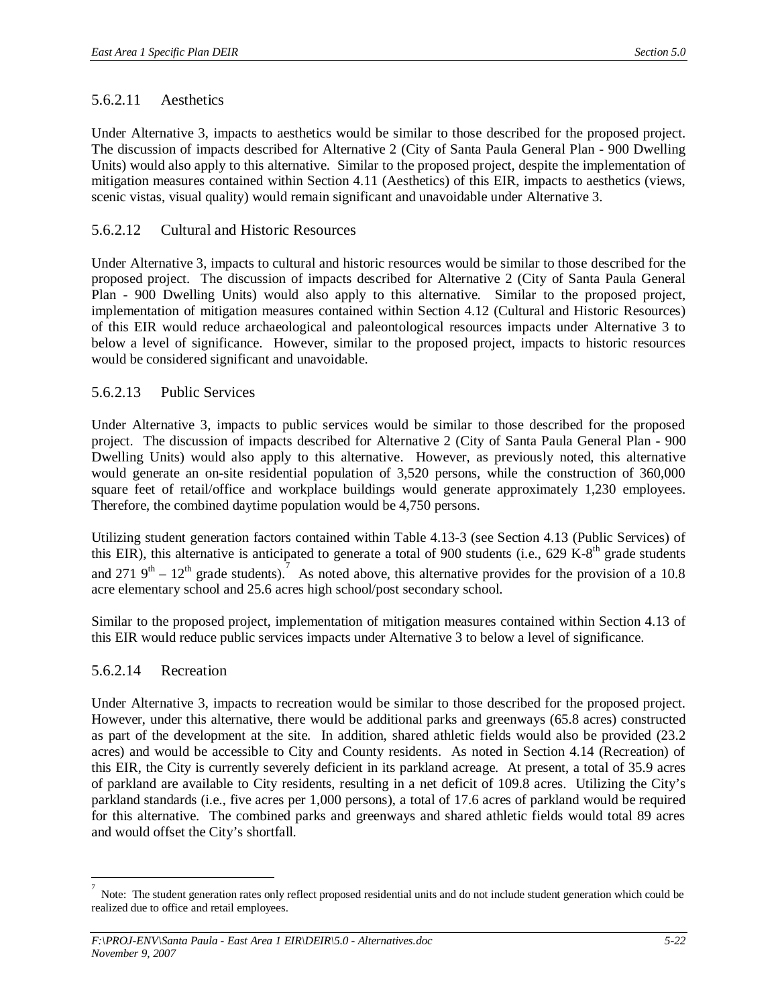### 5.6.2.11 Aesthetics

Under Alternative 3, impacts to aesthetics would be similar to those described for the proposed project. The discussion of impacts described for Alternative 2 (City of Santa Paula General Plan - 900 Dwelling Units) would also apply to this alternative. Similar to the proposed project, despite the implementation of mitigation measures contained within Section 4.11 (Aesthetics) of this EIR, impacts to aesthetics (views, scenic vistas, visual quality) would remain significant and unavoidable under Alternative 3.

### 5.6.2.12 Cultural and Historic Resources

Under Alternative 3, impacts to cultural and historic resources would be similar to those described for the proposed project. The discussion of impacts described for Alternative 2 (City of Santa Paula General Plan - 900 Dwelling Units) would also apply to this alternative. Similar to the proposed project, implementation of mitigation measures contained within Section 4.12 (Cultural and Historic Resources) of this EIR would reduce archaeological and paleontological resources impacts under Alternative 3 to below a level of significance. However, similar to the proposed project, impacts to historic resources would be considered significant and unavoidable.

#### 5.6.2.13 Public Services

Under Alternative 3, impacts to public services would be similar to those described for the proposed project. The discussion of impacts described for Alternative 2 (City of Santa Paula General Plan - 900 Dwelling Units) would also apply to this alternative. However, as previously noted, this alternative would generate an on-site residential population of 3,520 persons, while the construction of 360,000 square feet of retail/office and workplace buildings would generate approximately 1,230 employees. Therefore, the combined daytime population would be 4,750 persons.

Utilizing student generation factors contained within Table 4.13-3 (see Section 4.13 (Public Services) of this EIR), this alternative is anticipated to generate a total of 900 students (i.e.,  $629 \text{ K-}8^{\text{th}}$  grade students and 271  $9^{th}$  – 12<sup>th</sup> grade students). As noted above, this alternative provides for the provision of a 10.8 acre elementary school and 25.6 acres high school/post secondary school.

Similar to the proposed project, implementation of mitigation measures contained within Section 4.13 of this EIR would reduce public services impacts under Alternative 3 to below a level of significance.

### 5.6.2.14 Recreation

Under Alternative 3, impacts to recreation would be similar to those described for the proposed project. However, under this alternative, there would be additional parks and greenways (65.8 acres) constructed as part of the development at the site. In addition, shared athletic fields would also be provided (23.2 acres) and would be accessible to City and County residents. As noted in Section 4.14 (Recreation) of this EIR, the City is currently severely deficient in its parkland acreage. At present, a total of 35.9 acres of parkland are available to City residents, resulting in a net deficit of 109.8 acres. Utilizing the City's parkland standards (i.e., five acres per 1,000 persons), a total of 17.6 acres of parkland would be required for this alternative. The combined parks and greenways and shared athletic fields would total 89 acres and would offset the City's shortfall.

<sup>7</sup> Note: The student generation rates only reflect proposed residential units and do not include student generation which could be realized due to office and retail employees.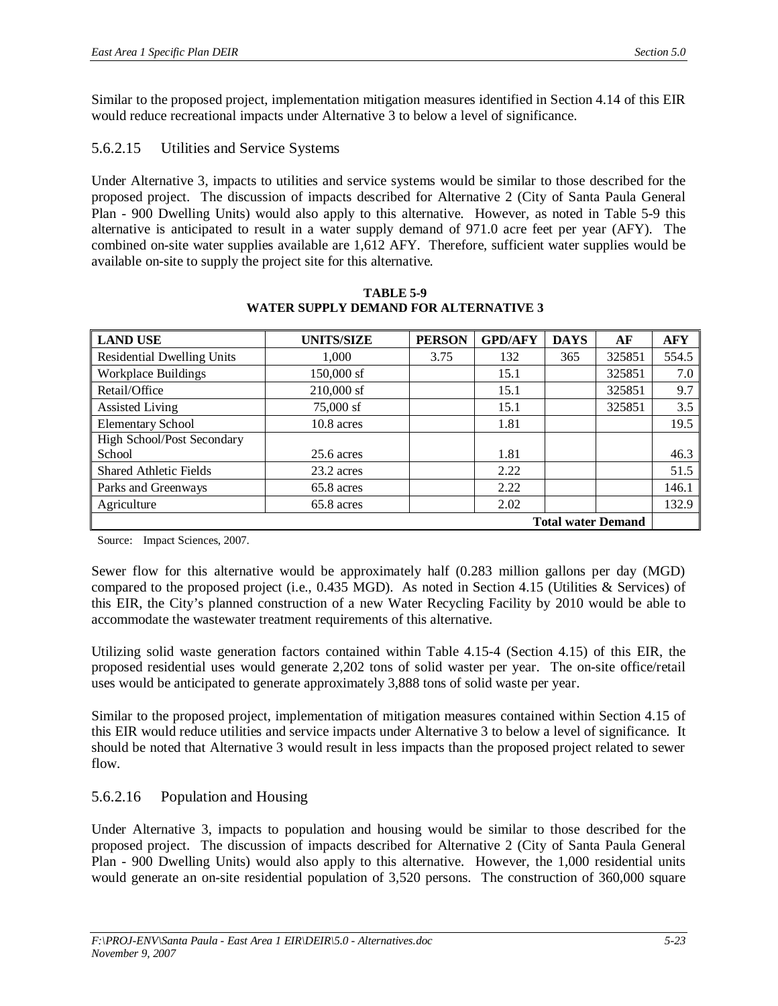Similar to the proposed project, implementation mitigation measures identified in Section 4.14 of this EIR would reduce recreational impacts under Alternative 3 to below a level of significance.

## 5.6.2.15 Utilities and Service Systems

Under Alternative 3, impacts to utilities and service systems would be similar to those described for the proposed project. The discussion of impacts described for Alternative 2 (City of Santa Paula General Plan - 900 Dwelling Units) would also apply to this alternative. However, as noted in Table 5-9 this alternative is anticipated to result in a water supply demand of 971.0 acre feet per year (AFY). The combined on-site water supplies available are 1,612 AFY. Therefore, sufficient water supplies would be available on-site to supply the project site for this alternative.

| <b>LAND USE</b>                   | <b>UNITS/SIZE</b> | <b>PERSON</b> | <b>GPD/AFY</b> | <b>DAYS</b> | AF     | <b>AFY</b> |
|-----------------------------------|-------------------|---------------|----------------|-------------|--------|------------|
| <b>Residential Dwelling Units</b> | 1,000             | 3.75          | 132            | 365         | 325851 | 554.5      |
| <b>Workplace Buildings</b>        | 150,000 sf        |               | 15.1           |             | 325851 | 7.0        |
| Retail/Office                     | $210,000$ sf      |               | 15.1           |             | 325851 | 9.7        |
| <b>Assisted Living</b>            | 75,000 sf         |               | 15.1           |             | 325851 | 3.5        |
| <b>Elementary School</b>          | $10.8$ acres      |               | 1.81           |             |        | 19.5       |
| High School/Post Secondary        |                   |               |                |             |        |            |
| School                            | $25.6$ acres      |               | 1.81           |             |        | 46.3       |
| <b>Shared Athletic Fields</b>     | 23.2 acres        |               | 2.22           |             |        | 51.5       |
| Parks and Greenways               | 65.8 acres        |               | 2.22           |             |        | 146.1      |
| Agriculture                       | 65.8 acres        |               | 2.02           |             |        | 132.9      |
| <b>Total water Demand</b>         |                   |               |                |             |        |            |

**TABLE 5-9 WATER SUPPLY DEMAND FOR ALTERNATIVE 3**

Source: Impact Sciences, 2007.

Sewer flow for this alternative would be approximately half (0.283 million gallons per day (MGD) compared to the proposed project (i.e., 0.435 MGD). As noted in Section 4.15 (Utilities & Services) of this EIR, the City's planned construction of a new Water Recycling Facility by 2010 would be able to accommodate the wastewater treatment requirements of this alternative.

Utilizing solid waste generation factors contained within Table 4.15-4 (Section 4.15) of this EIR, the proposed residential uses would generate 2,202 tons of solid waster per year. The on-site office/retail uses would be anticipated to generate approximately 3,888 tons of solid waste per year.

Similar to the proposed project, implementation of mitigation measures contained within Section 4.15 of this EIR would reduce utilities and service impacts under Alternative 3 to below a level of significance. It should be noted that Alternative 3 would result in less impacts than the proposed project related to sewer flow.

### 5.6.2.16 Population and Housing

Under Alternative 3, impacts to population and housing would be similar to those described for the proposed project. The discussion of impacts described for Alternative 2 (City of Santa Paula General Plan - 900 Dwelling Units) would also apply to this alternative. However, the 1,000 residential units would generate an on-site residential population of 3,520 persons. The construction of 360,000 square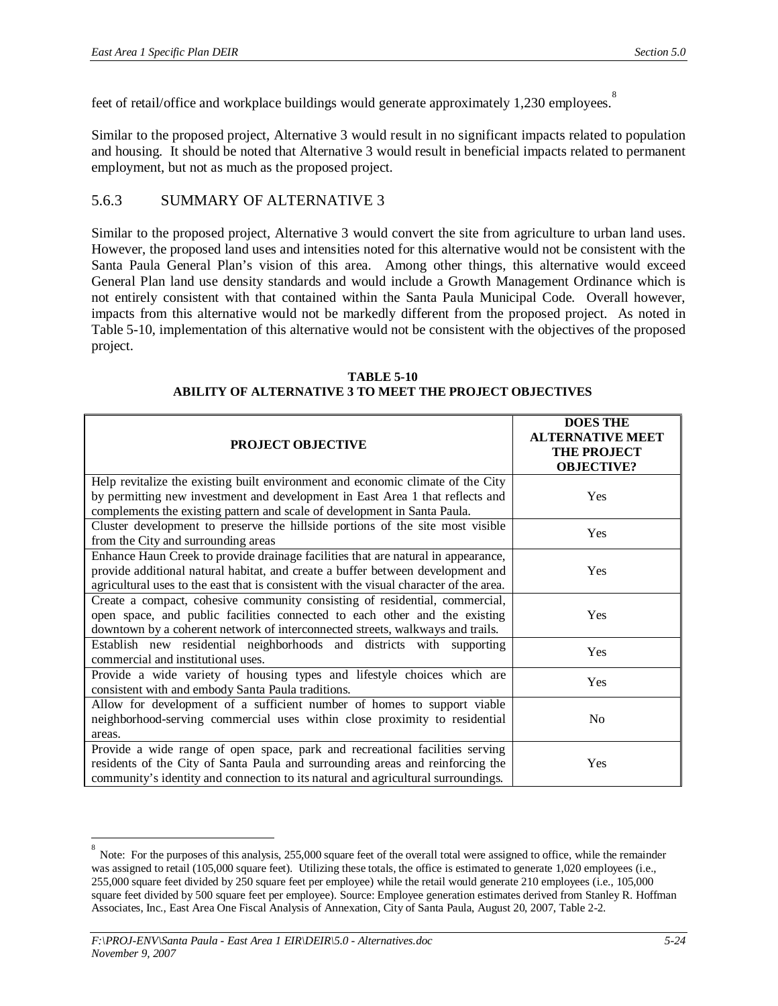feet of retail/office and workplace buildings would generate approximately 1,230 employees.

Similar to the proposed project, Alternative 3 would result in no significant impacts related to population and housing. It should be noted that Alternative 3 would result in beneficial impacts related to permanent employment, but not as much as the proposed project.

### 5.6.3 SUMMARY OF ALTERNATIVE 3

Similar to the proposed project, Alternative 3 would convert the site from agriculture to urban land uses. However, the proposed land uses and intensities noted for this alternative would not be consistent with the Santa Paula General Plan's vision of this area. Among other things, this alternative would exceed General Plan land use density standards and would include a Growth Management Ordinance which is not entirely consistent with that contained within the Santa Paula Municipal Code. Overall however, impacts from this alternative would not be markedly different from the proposed project. As noted in Table 5-10, implementation of this alternative would not be consistent with the objectives of the proposed project.

| <b>PROJECT OBJECTIVE</b>                                                                | <b>DOES THE</b><br><b>ALTERNATIVE MEET</b><br><b>THE PROJECT</b><br><b>OBJECTIVE?</b> |
|-----------------------------------------------------------------------------------------|---------------------------------------------------------------------------------------|
| Help revitalize the existing built environment and economic climate of the City         |                                                                                       |
| by permitting new investment and development in East Area 1 that reflects and           | Yes                                                                                   |
| complements the existing pattern and scale of development in Santa Paula.               |                                                                                       |
| Cluster development to preserve the hillside portions of the site most visible          | Yes                                                                                   |
| from the City and surrounding areas                                                     |                                                                                       |
| Enhance Haun Creek to provide drainage facilities that are natural in appearance,       |                                                                                       |
| provide additional natural habitat, and create a buffer between development and         | Yes                                                                                   |
| agricultural uses to the east that is consistent with the visual character of the area. |                                                                                       |
| Create a compact, cohesive community consisting of residential, commercial,             |                                                                                       |
| open space, and public facilities connected to each other and the existing              | Yes                                                                                   |
| downtown by a coherent network of interconnected streets, walkways and trails.          |                                                                                       |
| Establish new residential neighborhoods and districts with supporting                   | Yes                                                                                   |
| commercial and institutional uses.                                                      |                                                                                       |
| Provide a wide variety of housing types and lifestyle choices which are                 | Yes                                                                                   |
| consistent with and embody Santa Paula traditions.                                      |                                                                                       |
| Allow for development of a sufficient number of homes to support viable                 |                                                                                       |
| neighborhood-serving commercial uses within close proximity to residential              | N <sub>0</sub>                                                                        |
| areas.                                                                                  |                                                                                       |
| Provide a wide range of open space, park and recreational facilities serving            |                                                                                       |
| residents of the City of Santa Paula and surrounding areas and reinforcing the          | Yes                                                                                   |
| community's identity and connection to its natural and agricultural surroundings.       |                                                                                       |

**TABLE 5-10 ABILITY OF ALTERNATIVE 3 TO MEET THE PROJECT OBJECTIVES**

<sup>8</sup> Note: For the purposes of this analysis, 255,000 square feet of the overall total were assigned to office, while the remainder was assigned to retail (105,000 square feet). Utilizing these totals, the office is estimated to generate 1,020 employees (i.e., 255,000 square feet divided by 250 square feet per employee) while the retail would generate 210 employees (i.e., 105,000 square feet divided by 500 square feet per employee). Source: Employee generation estimates derived from Stanley R. Hoffman Associates, Inc., East Area One Fiscal Analysis of Annexation, City of Santa Paula, August 20, 2007, Table 2-2.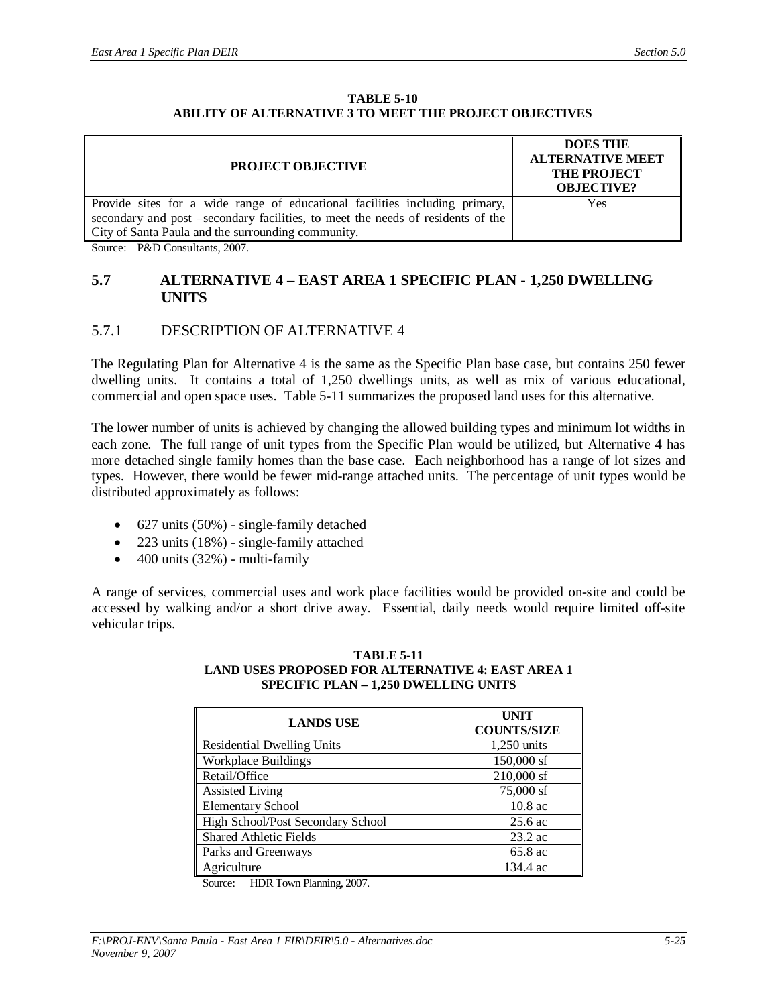#### **TABLE 5-10 ABILITY OF ALTERNATIVE 3 TO MEET THE PROJECT OBJECTIVES**

| <b>PROJECT OBJECTIVE</b>                                                        | <b>DOES THE</b><br><b>ALTERNATIVE MEET</b><br><b>THE PROJECT</b><br><b>OBJECTIVE?</b> |  |
|---------------------------------------------------------------------------------|---------------------------------------------------------------------------------------|--|
| Provide sites for a wide range of educational facilities including primary,     | Yes                                                                                   |  |
| secondary and post –secondary facilities, to meet the needs of residents of the |                                                                                       |  |
| City of Santa Paula and the surrounding community.                              |                                                                                       |  |
| $\alpha$ $\alpha$ $\alpha$ $\beta$ $\alpha$                                     |                                                                                       |  |

Source: P&D Consultants, 2007.

#### **5.7 ALTERNATIVE 4 – EAST AREA 1 SPECIFIC PLAN - 1,250 DWELLING UNITS**

### 5.7.1 DESCRIPTION OF ALTERNATIVE 4

The Regulating Plan for Alternative 4 is the same as the Specific Plan base case, but contains 250 fewer dwelling units. It contains a total of 1,250 dwellings units, as well as mix of various educational, commercial and open space uses. Table 5-11 summarizes the proposed land uses for this alternative.

The lower number of units is achieved by changing the allowed building types and minimum lot widths in each zone. The full range of unit types from the Specific Plan would be utilized, but Alternative 4 has more detached single family homes than the base case. Each neighborhood has a range of lot sizes and types. However, there would be fewer mid-range attached units. The percentage of unit types would be distributed approximately as follows:

- $\bullet$  627 units (50%) single-family detached
- $\bullet$  223 units (18%) single-family attached
- $\bullet$  400 units (32%) multi-family

A range of services, commercial uses and work place facilities would be provided on-site and could be accessed by walking and/or a short drive away. Essential, daily needs would require limited off-site vehicular trips.

#### **TABLE 5-11 LAND USES PROPOSED FOR ALTERNATIVE 4: EAST AREA 1 SPECIFIC PLAN – 1,250 DWELLING UNITS**

| <b>LANDS USE</b>                  | <b>UNIT</b><br><b>COUNTS/SIZE</b> |
|-----------------------------------|-----------------------------------|
| <b>Residential Dwelling Units</b> | 1,250 units                       |
| <b>Workplace Buildings</b>        | 150,000 sf                        |
| Retail/Office                     | 210,000 sf                        |
| <b>Assisted Living</b>            | 75,000 sf                         |
| <b>Elementary School</b>          | 10.8 ac                           |
| High School/Post Secondary School | $25.6$ ac                         |
| <b>Shared Athletic Fields</b>     | $23.2$ ac                         |
| Parks and Greenways               | 65.8 ac                           |
| Agriculture                       | 134.4 ac                          |

Source: HDR Town Planning, 2007.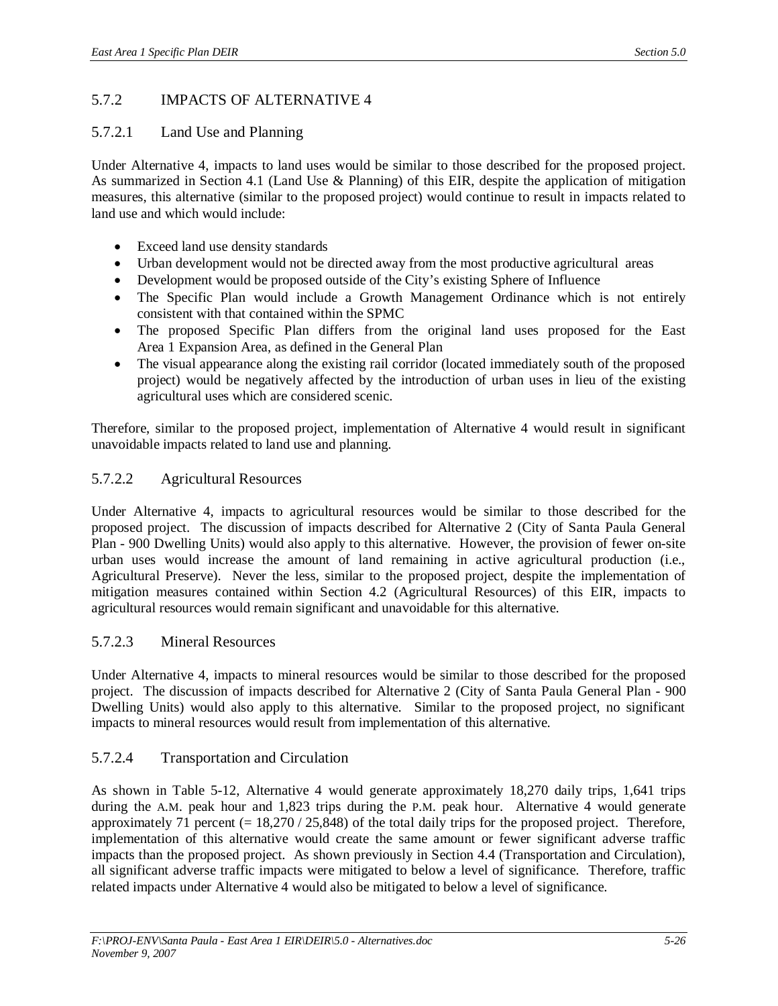## 5.7.2 IMPACTS OF ALTERNATIVE 4

### 5.7.2.1 Land Use and Planning

Under Alternative 4, impacts to land uses would be similar to those described for the proposed project. As summarized in Section 4.1 (Land Use & Planning) of this EIR, despite the application of mitigation measures, this alternative (similar to the proposed project) would continue to result in impacts related to land use and which would include:

- Exceed land use density standards
- Urban development would not be directed away from the most productive agricultural areas
- Development would be proposed outside of the City's existing Sphere of Influence
- The Specific Plan would include a Growth Management Ordinance which is not entirely consistent with that contained within the SPMC
- The proposed Specific Plan differs from the original land uses proposed for the East Area 1 Expansion Area, as defined in the General Plan
- The visual appearance along the existing rail corridor (located immediately south of the proposed project) would be negatively affected by the introduction of urban uses in lieu of the existing agricultural uses which are considered scenic.

Therefore, similar to the proposed project, implementation of Alternative 4 would result in significant unavoidable impacts related to land use and planning.

### 5.7.2.2 Agricultural Resources

Under Alternative 4, impacts to agricultural resources would be similar to those described for the proposed project. The discussion of impacts described for Alternative 2 (City of Santa Paula General Plan - 900 Dwelling Units) would also apply to this alternative. However, the provision of fewer on-site urban uses would increase the amount of land remaining in active agricultural production (i.e., Agricultural Preserve). Never the less, similar to the proposed project, despite the implementation of mitigation measures contained within Section 4.2 (Agricultural Resources) of this EIR, impacts to agricultural resources would remain significant and unavoidable for this alternative.

### 5.7.2.3 Mineral Resources

Under Alternative 4, impacts to mineral resources would be similar to those described for the proposed project. The discussion of impacts described for Alternative 2 (City of Santa Paula General Plan - 900 Dwelling Units) would also apply to this alternative. Similar to the proposed project, no significant impacts to mineral resources would result from implementation of this alternative.

### 5.7.2.4 Transportation and Circulation

As shown in Table 5-12, Alternative 4 would generate approximately 18,270 daily trips, 1,641 trips during the A.M. peak hour and 1,823 trips during the P.M. peak hour. Alternative 4 would generate approximately 71 percent (= 18,270 / 25,848) of the total daily trips for the proposed project. Therefore, implementation of this alternative would create the same amount or fewer significant adverse traffic impacts than the proposed project. As shown previously in Section 4.4 (Transportation and Circulation), all significant adverse traffic impacts were mitigated to below a level of significance. Therefore, traffic related impacts under Alternative 4 would also be mitigated to below a level of significance.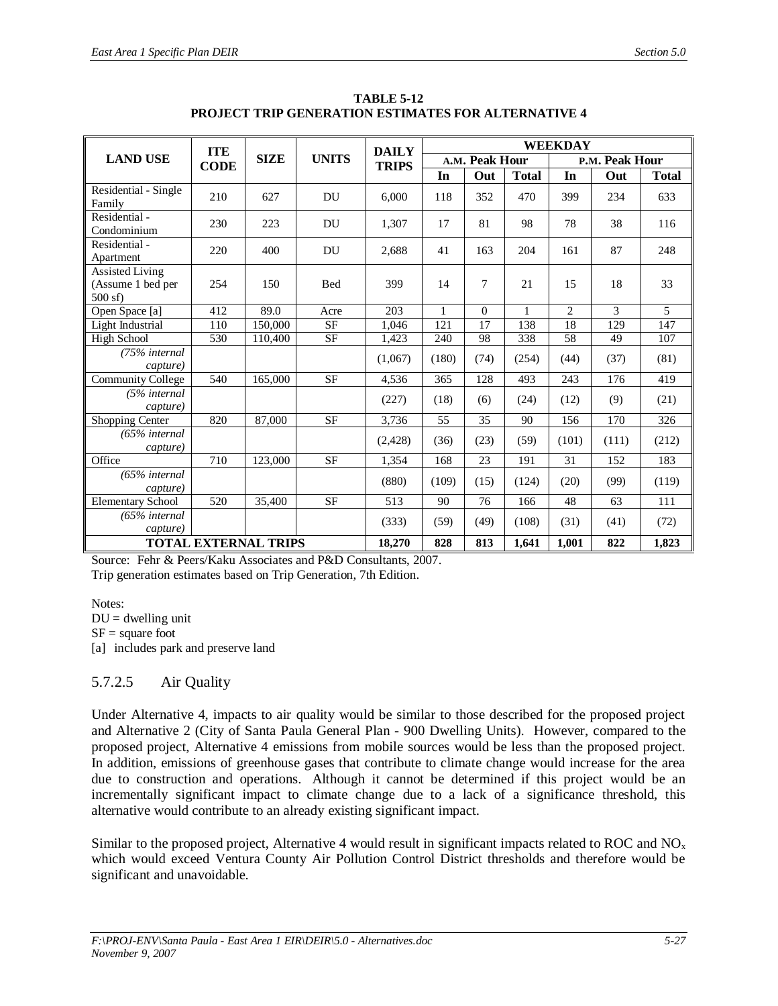|                                                      | <b>ITE</b>                  |             |              | <b>DAILY</b> | <b>WEEKDAY</b> |          |                |                |       |              |  |
|------------------------------------------------------|-----------------------------|-------------|--------------|--------------|----------------|----------|----------------|----------------|-------|--------------|--|
| <b>LAND USE</b>                                      | <b>CODE</b>                 | <b>SIZE</b> | <b>UNITS</b> | <b>TRIPS</b> | A.M. Peak Hour |          | P.M. Peak Hour |                |       |              |  |
|                                                      |                             |             |              |              | In             | Out      | <b>Total</b>   | In             | Out   | <b>Total</b> |  |
| Residential - Single<br>Family                       | 210                         | 627         | DU           | 6,000        | 118            | 352      | 470            | 399            | 234   | 633          |  |
| Residential -<br>Condominium                         | 230                         | 223         | DU           | 1,307        | 17             | 81       | 98             | 78             | 38    | 116          |  |
| Residential -<br>Apartment                           | 220                         | 400         | <b>DU</b>    | 2,688        | 41             | 163      | 204            | 161            | 87    | 248          |  |
| <b>Assisted Living</b><br>(Assume 1 bed per<br>500sf | 254                         | 150         | <b>Bed</b>   | 399          | 14             | $\tau$   | 21             | 15             | 18    | 33           |  |
| Open Space [a]                                       | 412                         | 89.0        | Acre         | 203          | $\mathbf{1}$   | $\Omega$ | $\mathbf{1}$   | $\overline{2}$ | 3     | 5            |  |
| Light Industrial                                     | 110                         | 150,000     | <b>SF</b>    | 1.046        | 121            | 17       | 138            | 18             | 129   | 147          |  |
| <b>High School</b>                                   | 530                         | 110,400     | <b>SF</b>    | 1,423        | 240            | 98       | 338            | 58             | 49    | 107          |  |
| (75% internal<br>capture)                            |                             |             |              | (1,067)      | (180)          | (74)     | (254)          | (44)           | (37)  | (81)         |  |
| <b>Community College</b>                             | 540                         | 165,000     | <b>SF</b>    | 4,536        | 365            | 128      | 493            | 243            | 176   | 419          |  |
| (5% internal<br>capture)                             |                             |             |              | (227)        | (18)           | (6)      | (24)           | (12)           | (9)   | (21)         |  |
| Shopping Center                                      | 820                         | 87,000      | <b>SF</b>    | 3,736        | 55             | 35       | 90             | 156            | 170   | 326          |  |
| $(65\%$ internal<br>capture)                         |                             |             |              | (2,428)      | (36)           | (23)     | (59)           | (101)          | (111) | (212)        |  |
| Office                                               | 710                         | 123,000     | <b>SF</b>    | 1,354        | 168            | 23       | 191            | 31             | 152   | 183          |  |
| $(65\%$ internal<br>capture)                         |                             |             |              | (880)        | (109)          | (15)     | (124)          | (20)           | (99)  | (119)        |  |
| <b>Elementary School</b>                             | 520                         | 35,400      | <b>SF</b>    | 513          | 90             | 76       | 166            | 48             | 63    | 111          |  |
| $(65\%$ internal<br>capture)                         |                             |             |              | (333)        | (59)           | (49)     | (108)          | (31)           | (41)  | (72)         |  |
|                                                      | <b>TOTAL EXTERNAL TRIPS</b> |             |              | 18,270       | 828            | 813      | 1.641          | 1,001          | 822   | 1,823        |  |

**TABLE 5-12 PROJECT TRIP GENERATION ESTIMATES FOR ALTERNATIVE 4**

Source: Fehr & Peers/Kaku Associates and P&D Consultants, 2007. Trip generation estimates based on Trip Generation, 7th Edition.

Notes:  $DU =$  dwelling unit  $SF = square foot$ [a] includes park and preserve land

### 5.7.2.5 Air Quality

Under Alternative 4, impacts to air quality would be similar to those described for the proposed project and Alternative 2 (City of Santa Paula General Plan - 900 Dwelling Units). However, compared to the proposed project, Alternative 4 emissions from mobile sources would be less than the proposed project. In addition, emissions of greenhouse gases that contribute to climate change would increase for the area due to construction and operations. Although it cannot be determined if this project would be an incrementally significant impact to climate change due to a lack of a significance threshold, this alternative would contribute to an already existing significant impact.

Similar to the proposed project, Alternative 4 would result in significant impacts related to ROC and  $NO<sub>x</sub>$ which would exceed Ventura County Air Pollution Control District thresholds and therefore would be significant and unavoidable.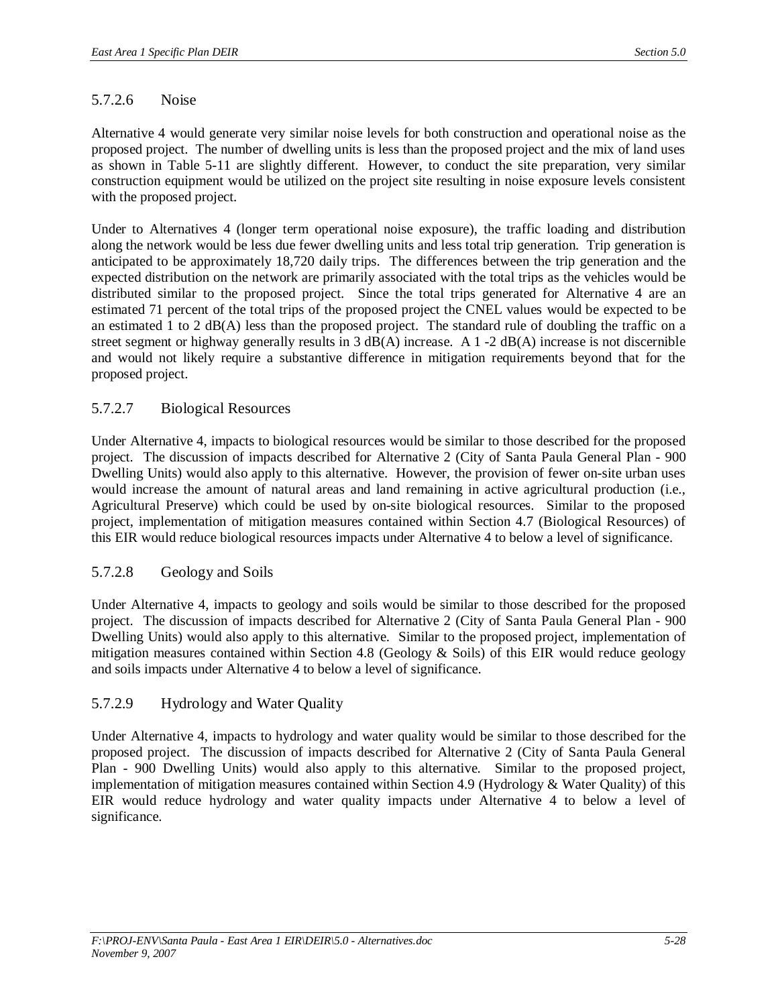### 5.7.2.6 Noise

Alternative 4 would generate very similar noise levels for both construction and operational noise as the proposed project. The number of dwelling units is less than the proposed project and the mix of land uses as shown in Table 5-11 are slightly different. However, to conduct the site preparation, very similar construction equipment would be utilized on the project site resulting in noise exposure levels consistent with the proposed project.

Under to Alternatives 4 (longer term operational noise exposure), the traffic loading and distribution along the network would be less due fewer dwelling units and less total trip generation. Trip generation is anticipated to be approximately 18,720 daily trips. The differences between the trip generation and the expected distribution on the network are primarily associated with the total trips as the vehicles would be distributed similar to the proposed project. Since the total trips generated for Alternative 4 are an estimated 71 percent of the total trips of the proposed project the CNEL values would be expected to be an estimated 1 to 2  $dB(A)$  less than the proposed project. The standard rule of doubling the traffic on a street segment or highway generally results in 3 dB(A) increase. A 1 -2 dB(A) increase is not discernible and would not likely require a substantive difference in mitigation requirements beyond that for the proposed project.

### 5.7.2.7 Biological Resources

Under Alternative 4, impacts to biological resources would be similar to those described for the proposed project. The discussion of impacts described for Alternative 2 (City of Santa Paula General Plan - 900 Dwelling Units) would also apply to this alternative. However, the provision of fewer on-site urban uses would increase the amount of natural areas and land remaining in active agricultural production (i.e., Agricultural Preserve) which could be used by on-site biological resources. Similar to the proposed project, implementation of mitigation measures contained within Section 4.7 (Biological Resources) of this EIR would reduce biological resources impacts under Alternative 4 to below a level of significance.

### 5.7.2.8 Geology and Soils

Under Alternative 4, impacts to geology and soils would be similar to those described for the proposed project. The discussion of impacts described for Alternative 2 (City of Santa Paula General Plan - 900 Dwelling Units) would also apply to this alternative. Similar to the proposed project, implementation of mitigation measures contained within Section 4.8 (Geology  $\&$  Soils) of this EIR would reduce geology and soils impacts under Alternative 4 to below a level of significance.

### 5.7.2.9 Hydrology and Water Quality

Under Alternative 4, impacts to hydrology and water quality would be similar to those described for the proposed project. The discussion of impacts described for Alternative 2 (City of Santa Paula General Plan - 900 Dwelling Units) would also apply to this alternative. Similar to the proposed project, implementation of mitigation measures contained within Section 4.9 (Hydrology & Water Quality) of this EIR would reduce hydrology and water quality impacts under Alternative 4 to below a level of significance.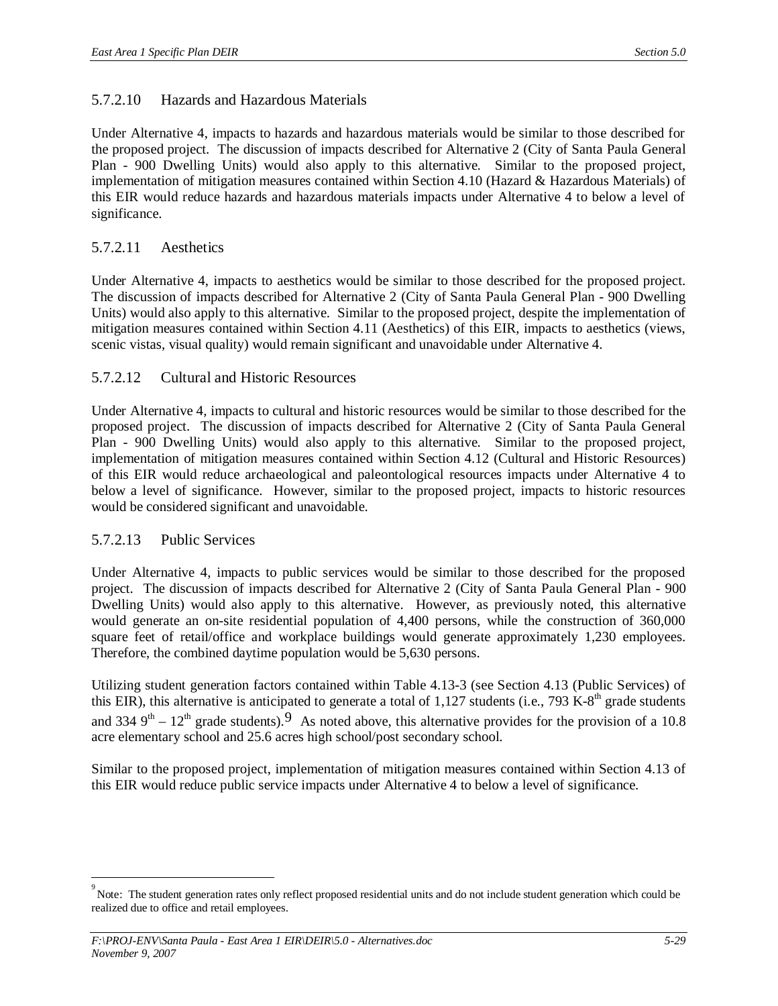### 5.7.2.10 Hazards and Hazardous Materials

Under Alternative 4, impacts to hazards and hazardous materials would be similar to those described for the proposed project. The discussion of impacts described for Alternative 2 (City of Santa Paula General Plan - 900 Dwelling Units) would also apply to this alternative. Similar to the proposed project, implementation of mitigation measures contained within Section 4.10 (Hazard & Hazardous Materials) of this EIR would reduce hazards and hazardous materials impacts under Alternative 4 to below a level of significance.

### 5.7.2.11 Aesthetics

Under Alternative 4, impacts to aesthetics would be similar to those described for the proposed project. The discussion of impacts described for Alternative 2 (City of Santa Paula General Plan - 900 Dwelling Units) would also apply to this alternative. Similar to the proposed project, despite the implementation of mitigation measures contained within Section 4.11 (Aesthetics) of this EIR, impacts to aesthetics (views, scenic vistas, visual quality) would remain significant and unavoidable under Alternative 4.

### 5.7.2.12 Cultural and Historic Resources

Under Alternative 4, impacts to cultural and historic resources would be similar to those described for the proposed project. The discussion of impacts described for Alternative 2 (City of Santa Paula General Plan - 900 Dwelling Units) would also apply to this alternative. Similar to the proposed project, implementation of mitigation measures contained within Section 4.12 (Cultural and Historic Resources) of this EIR would reduce archaeological and paleontological resources impacts under Alternative 4 to below a level of significance. However, similar to the proposed project, impacts to historic resources would be considered significant and unavoidable.

### 5.7.2.13 Public Services

Under Alternative 4, impacts to public services would be similar to those described for the proposed project. The discussion of impacts described for Alternative 2 (City of Santa Paula General Plan - 900 Dwelling Units) would also apply to this alternative. However, as previously noted, this alternative would generate an on-site residential population of 4,400 persons, while the construction of 360,000 square feet of retail/office and workplace buildings would generate approximately 1,230 employees. Therefore, the combined daytime population would be 5,630 persons.

Utilizing student generation factors contained within Table 4.13-3 (see Section 4.13 (Public Services) of this EIR), this alternative is anticipated to generate a total of 1,127 students (i.e., 793 K-8<sup>th</sup> grade students and 334  $9<sup>th</sup> - 12<sup>th</sup>$  grade students).<sup>9</sup> As noted above, this alternative provides for the provision of a 10.8 acre elementary school and 25.6 acres high school/post secondary school.

Similar to the proposed project, implementation of mitigation measures contained within Section 4.13 of this EIR would reduce public service impacts under Alternative 4 to below a level of significance.

<sup>&</sup>lt;sup>9</sup><br>Note: The student generation rates only reflect proposed residential units and do not include student generation which could be realized due to office and retail employees.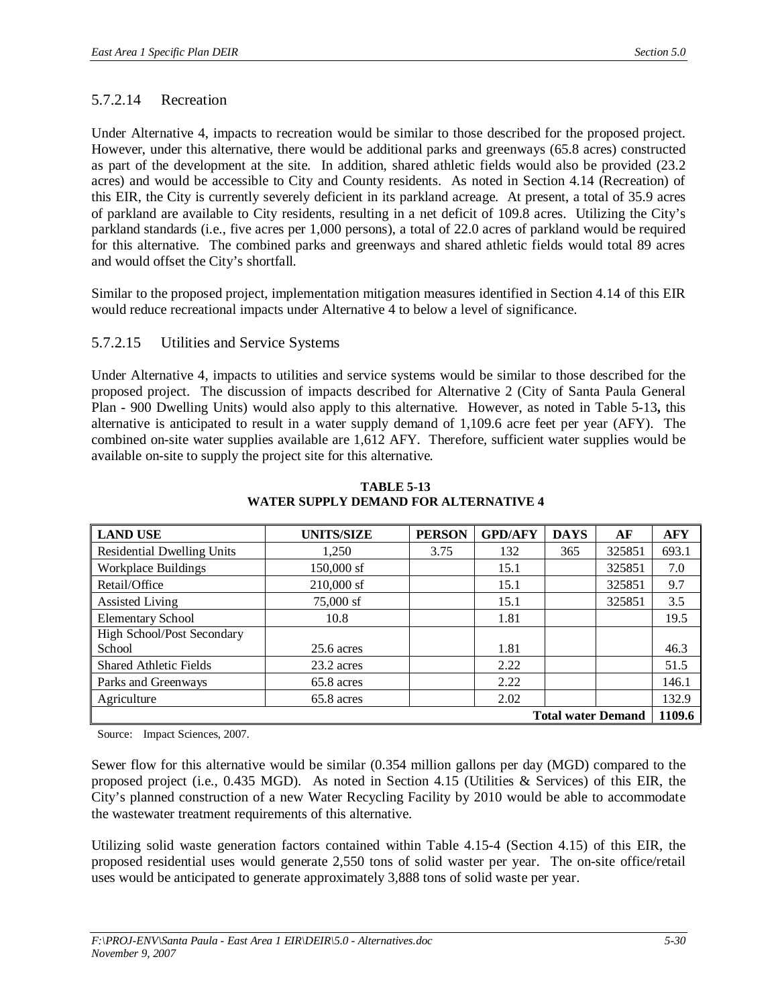### 5.7.2.14 Recreation

Under Alternative 4, impacts to recreation would be similar to those described for the proposed project. However, under this alternative, there would be additional parks and greenways (65.8 acres) constructed as part of the development at the site. In addition, shared athletic fields would also be provided (23.2 acres) and would be accessible to City and County residents. As noted in Section 4.14 (Recreation) of this EIR, the City is currently severely deficient in its parkland acreage. At present, a total of 35.9 acres of parkland are available to City residents, resulting in a net deficit of 109.8 acres. Utilizing the City's parkland standards (i.e., five acres per 1,000 persons), a total of 22.0 acres of parkland would be required for this alternative. The combined parks and greenways and shared athletic fields would total 89 acres and would offset the City's shortfall.

Similar to the proposed project, implementation mitigation measures identified in Section 4.14 of this EIR would reduce recreational impacts under Alternative 4 to below a level of significance.

### 5.7.2.15 Utilities and Service Systems

Under Alternative 4, impacts to utilities and service systems would be similar to those described for the proposed project. The discussion of impacts described for Alternative 2 (City of Santa Paula General Plan - 900 Dwelling Units) would also apply to this alternative. However, as noted in Table 5-13**,** this alternative is anticipated to result in a water supply demand of 1,109.6 acre feet per year (AFY). The combined on-site water supplies available are 1,612 AFY. Therefore, sufficient water supplies would be available on-site to supply the project site for this alternative.

| <b>LAND USE</b>                   | <b>UNITS/SIZE</b> | <b>PERSON</b> | <b>GPD/AFY</b> | <b>DAYS</b> | AF     | <b>AFY</b> |
|-----------------------------------|-------------------|---------------|----------------|-------------|--------|------------|
| <b>Residential Dwelling Units</b> | 1,250             | 3.75          | 132            | 365         | 325851 | 693.1      |
| <b>Workplace Buildings</b>        | 150,000 sf        |               | 15.1           |             | 325851 | 7.0        |
| Retail/Office                     | 210,000 sf        |               | 15.1           |             | 325851 | 9.7        |
| <b>Assisted Living</b>            | 75,000 sf         |               | 15.1           |             | 325851 | 3.5        |
| <b>Elementary School</b>          | 10.8              |               | 1.81           |             |        | 19.5       |
| High School/Post Secondary        |                   |               |                |             |        |            |
| School                            | $25.6$ acres      |               | 1.81           |             |        | 46.3       |
| <b>Shared Athletic Fields</b>     | 23.2 acres        |               | 2.22           |             |        | 51.5       |
| Parks and Greenways               | 65.8 acres        |               | 2.22           |             |        | 146.1      |
| Agriculture                       | 65.8 acres        |               | 2.02           |             |        | 132.9      |
| <b>Total water Demand</b>         |                   |               |                |             |        | 1109.6     |

**TABLE 5-13 WATER SUPPLY DEMAND FOR ALTERNATIVE 4**

Source: Impact Sciences, 2007.

Sewer flow for this alternative would be similar (0.354 million gallons per day (MGD) compared to the proposed project (i.e., 0.435 MGD). As noted in Section 4.15 (Utilities & Services) of this EIR, the City's planned construction of a new Water Recycling Facility by 2010 would be able to accommodate the wastewater treatment requirements of this alternative.

Utilizing solid waste generation factors contained within Table 4.15-4 (Section 4.15) of this EIR, the proposed residential uses would generate 2,550 tons of solid waster per year. The on-site office/retail uses would be anticipated to generate approximately 3,888 tons of solid waste per year.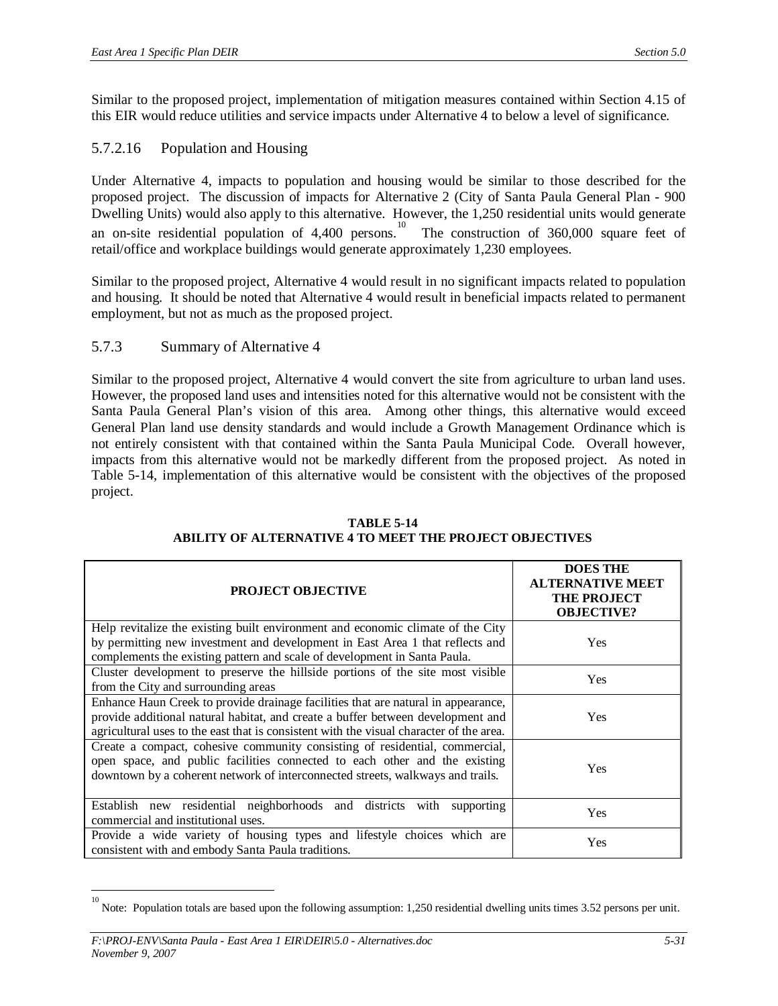Similar to the proposed project, implementation of mitigation measures contained within Section 4.15 of this EIR would reduce utilities and service impacts under Alternative 4 to below a level of significance.

### 5.7.2.16 Population and Housing

Under Alternative 4, impacts to population and housing would be similar to those described for the proposed project. The discussion of impacts for Alternative 2 (City of Santa Paula General Plan - 900 Dwelling Units) would also apply to this alternative. However, the 1,250 residential units would generate an on-site residential population of 4,400 persons.<sup>10</sup> The construction of 360,000 square feet of retail/office and workplace buildings would generate approximately 1,230 employees.

Similar to the proposed project, Alternative 4 would result in no significant impacts related to population and housing. It should be noted that Alternative 4 would result in beneficial impacts related to permanent employment, but not as much as the proposed project.

5.7.3 Summary of Alternative 4

Similar to the proposed project, Alternative 4 would convert the site from agriculture to urban land uses. However, the proposed land uses and intensities noted for this alternative would not be consistent with the Santa Paula General Plan's vision of this area. Among other things, this alternative would exceed General Plan land use density standards and would include a Growth Management Ordinance which is not entirely consistent with that contained within the Santa Paula Municipal Code. Overall however, impacts from this alternative would not be markedly different from the proposed project. As noted in Table 5-14, implementation of this alternative would be consistent with the objectives of the proposed project.

| <b>PROJECT OBJECTIVE</b>                                                                                                                                                                                                                                        | <b>DOES THE</b><br><b>ALTERNATIVE MEET</b><br><b>THE PROJECT</b><br><b>OBJECTIVE?</b> |
|-----------------------------------------------------------------------------------------------------------------------------------------------------------------------------------------------------------------------------------------------------------------|---------------------------------------------------------------------------------------|
| Help revitalize the existing built environment and economic climate of the City<br>by permitting new investment and development in East Area 1 that reflects and<br>complements the existing pattern and scale of development in Santa Paula.                   | Yes                                                                                   |
| Cluster development to preserve the hillside portions of the site most visible<br>from the City and surrounding areas                                                                                                                                           | Yes                                                                                   |
| Enhance Haun Creek to provide drainage facilities that are natural in appearance,<br>provide additional natural habitat, and create a buffer between development and<br>agricultural uses to the east that is consistent with the visual character of the area. | Yes                                                                                   |
| Create a compact, cohesive community consisting of residential, commercial,<br>open space, and public facilities connected to each other and the existing<br>downtown by a coherent network of interconnected streets, walkways and trails.                     | Yes                                                                                   |
| Establish new residential neighborhoods and districts with<br>supporting<br>commercial and institutional uses.                                                                                                                                                  | Yes                                                                                   |
| Provide a wide variety of housing types and lifestyle choices which are<br>consistent with and embody Santa Paula traditions.                                                                                                                                   | Yes                                                                                   |

#### **TABLE 5-14 ABILITY OF ALTERNATIVE 4 TO MEET THE PROJECT OBJECTIVES**

<sup>10</sup> Note: Population totals are based upon the following assumption: 1,250 residential dwelling units times 3.52 persons per unit.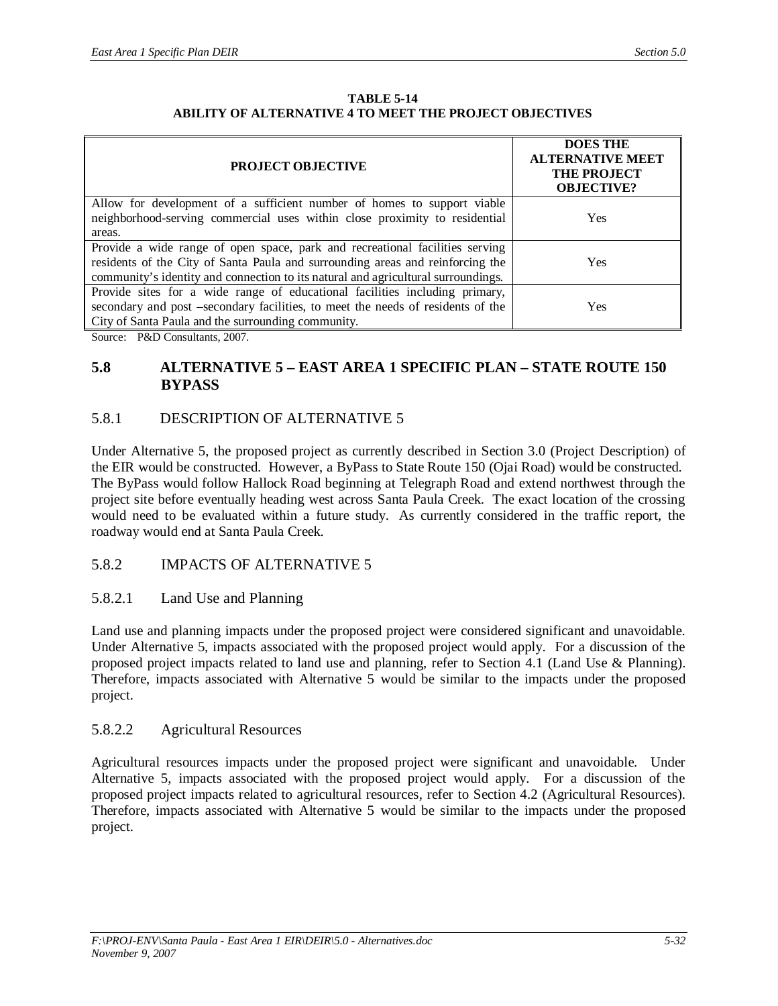#### **TABLE 5-14 ABILITY OF ALTERNATIVE 4 TO MEET THE PROJECT OBJECTIVES**

| <b>PROJECT OBJECTIVE</b>                                                                                                                                                                                                                            | <b>DOES THE</b><br><b>ALTERNATIVE MEET</b><br><b>THE PROJECT</b><br><b>OBJECTIVE?</b> |
|-----------------------------------------------------------------------------------------------------------------------------------------------------------------------------------------------------------------------------------------------------|---------------------------------------------------------------------------------------|
| Allow for development of a sufficient number of homes to support viable<br>neighborhood-serving commercial uses within close proximity to residential<br>areas.                                                                                     | Yes                                                                                   |
| Provide a wide range of open space, park and recreational facilities serving<br>residents of the City of Santa Paula and surrounding areas and reinforcing the<br>community's identity and connection to its natural and agricultural surroundings. | <b>Yes</b>                                                                            |
| Provide sites for a wide range of educational facilities including primary,<br>secondary and post -secondary facilities, to meet the needs of residents of the<br>City of Santa Paula and the surrounding community.                                | Yes                                                                                   |

Source: P&D Consultants, 2007.

# **5.8 ALTERNATIVE 5 – EAST AREA 1 SPECIFIC PLAN – STATE ROUTE 150 BYPASS**

## 5.8.1 DESCRIPTION OF ALTERNATIVE 5

Under Alternative 5, the proposed project as currently described in Section 3.0 (Project Description) of the EIR would be constructed. However, a ByPass to State Route 150 (Ojai Road) would be constructed. The ByPass would follow Hallock Road beginning at Telegraph Road and extend northwest through the project site before eventually heading west across Santa Paula Creek. The exact location of the crossing would need to be evaluated within a future study. As currently considered in the traffic report, the roadway would end at Santa Paula Creek.

### 5.8.2 IMPACTS OF ALTERNATIVE 5

### 5.8.2.1 Land Use and Planning

Land use and planning impacts under the proposed project were considered significant and unavoidable. Under Alternative 5, impacts associated with the proposed project would apply. For a discussion of the proposed project impacts related to land use and planning, refer to Section 4.1 (Land Use & Planning). Therefore, impacts associated with Alternative 5 would be similar to the impacts under the proposed project.

### 5.8.2.2 Agricultural Resources

Agricultural resources impacts under the proposed project were significant and unavoidable. Under Alternative 5, impacts associated with the proposed project would apply. For a discussion of the proposed project impacts related to agricultural resources, refer to Section 4.2 (Agricultural Resources). Therefore, impacts associated with Alternative 5 would be similar to the impacts under the proposed project.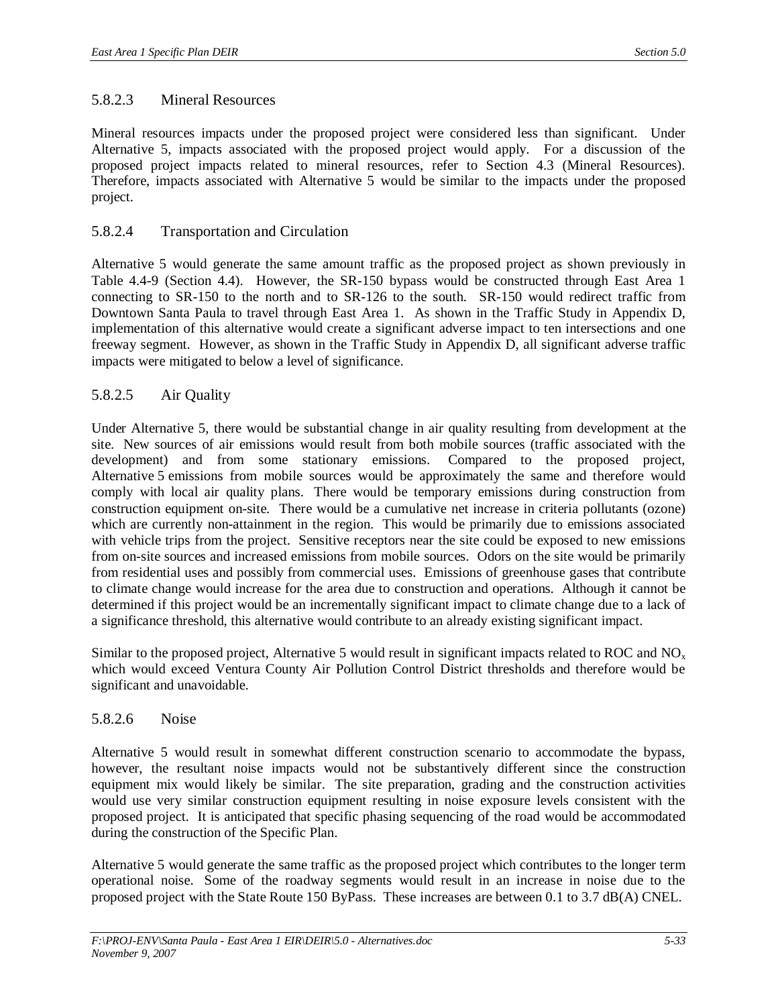### 5.8.2.3 Mineral Resources

Mineral resources impacts under the proposed project were considered less than significant. Under Alternative 5, impacts associated with the proposed project would apply. For a discussion of the proposed project impacts related to mineral resources, refer to Section 4.3 (Mineral Resources). Therefore, impacts associated with Alternative 5 would be similar to the impacts under the proposed project.

#### 5.8.2.4 Transportation and Circulation

Alternative 5 would generate the same amount traffic as the proposed project as shown previously in Table 4.4-9 (Section 4.4). However, the SR-150 bypass would be constructed through East Area 1 connecting to SR-150 to the north and to SR-126 to the south. SR-150 would redirect traffic from Downtown Santa Paula to travel through East Area 1. As shown in the Traffic Study in Appendix D, implementation of this alternative would create a significant adverse impact to ten intersections and one freeway segment. However, as shown in the Traffic Study in Appendix D, all significant adverse traffic impacts were mitigated to below a level of significance.

#### 5.8.2.5 Air Quality

Under Alternative 5, there would be substantial change in air quality resulting from development at the site. New sources of air emissions would result from both mobile sources (traffic associated with the development) and from some stationary emissions. Compared to the proposed project, Alternative 5 emissions from mobile sources would be approximately the same and therefore would comply with local air quality plans. There would be temporary emissions during construction from construction equipment on-site. There would be a cumulative net increase in criteria pollutants (ozone) which are currently non-attainment in the region. This would be primarily due to emissions associated with vehicle trips from the project. Sensitive receptors near the site could be exposed to new emissions from on-site sources and increased emissions from mobile sources. Odors on the site would be primarily from residential uses and possibly from commercial uses. Emissions of greenhouse gases that contribute to climate change would increase for the area due to construction and operations. Although it cannot be determined if this project would be an incrementally significant impact to climate change due to a lack of a significance threshold, this alternative would contribute to an already existing significant impact.

Similar to the proposed project, Alternative 5 would result in significant impacts related to ROC and  $NO<sub>x</sub>$ which would exceed Ventura County Air Pollution Control District thresholds and therefore would be significant and unavoidable.

#### 5.8.2.6 Noise

Alternative 5 would result in somewhat different construction scenario to accommodate the bypass, however, the resultant noise impacts would not be substantively different since the construction equipment mix would likely be similar. The site preparation, grading and the construction activities would use very similar construction equipment resulting in noise exposure levels consistent with the proposed project. It is anticipated that specific phasing sequencing of the road would be accommodated during the construction of the Specific Plan.

Alternative 5 would generate the same traffic as the proposed project which contributes to the longer term operational noise. Some of the roadway segments would result in an increase in noise due to the proposed project with the State Route 150 ByPass. These increases are between 0.1 to 3.7 dB(A) CNEL.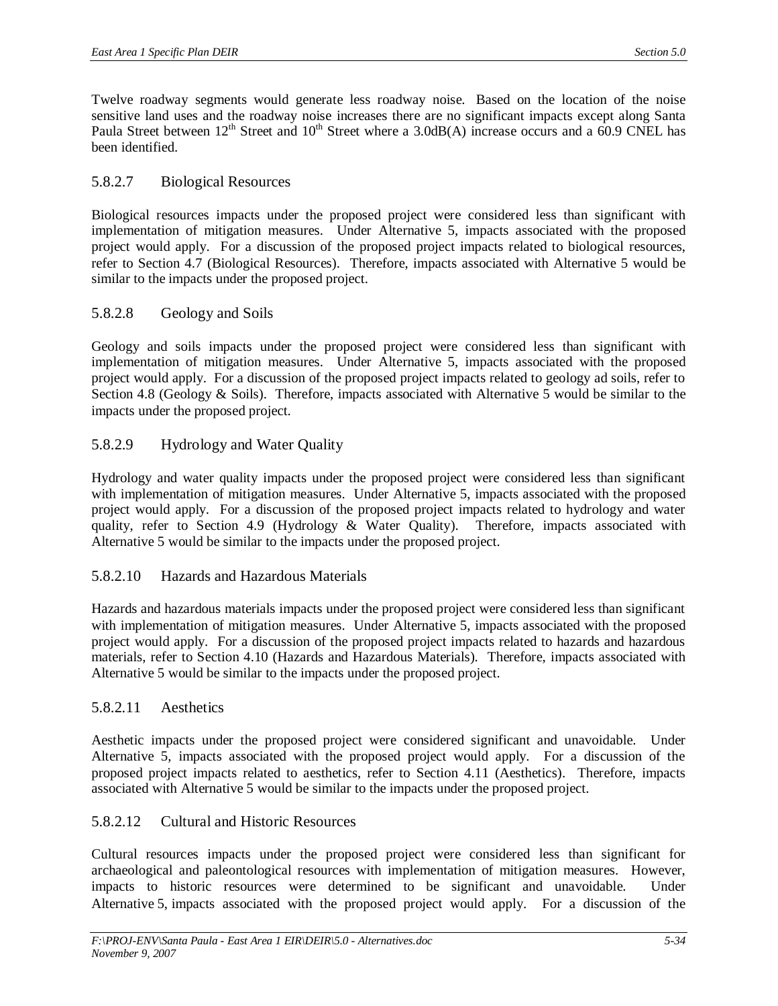Twelve roadway segments would generate less roadway noise. Based on the location of the noise sensitive land uses and the roadway noise increases there are no significant impacts except along Santa Paula Street between  $12<sup>th</sup>$  Street and  $10<sup>th</sup>$  Street where a 3.0dB(A) increase occurs and a 60.9 CNEL has been identified.

### 5.8.2.7 Biological Resources

Biological resources impacts under the proposed project were considered less than significant with implementation of mitigation measures. Under Alternative 5, impacts associated with the proposed project would apply. For a discussion of the proposed project impacts related to biological resources, refer to Section 4.7 (Biological Resources). Therefore, impacts associated with Alternative 5 would be similar to the impacts under the proposed project.

### 5.8.2.8 Geology and Soils

Geology and soils impacts under the proposed project were considered less than significant with implementation of mitigation measures. Under Alternative 5, impacts associated with the proposed project would apply. For a discussion of the proposed project impacts related to geology ad soils, refer to Section 4.8 (Geology & Soils). Therefore, impacts associated with Alternative 5 would be similar to the impacts under the proposed project.

### 5.8.2.9 Hydrology and Water Quality

Hydrology and water quality impacts under the proposed project were considered less than significant with implementation of mitigation measures. Under Alternative 5, impacts associated with the proposed project would apply. For a discussion of the proposed project impacts related to hydrology and water quality, refer to Section 4.9 (Hydrology & Water Quality). Therefore, impacts associated with Alternative 5 would be similar to the impacts under the proposed project.

### 5.8.2.10 Hazards and Hazardous Materials

Hazards and hazardous materials impacts under the proposed project were considered less than significant with implementation of mitigation measures. Under Alternative 5, impacts associated with the proposed project would apply. For a discussion of the proposed project impacts related to hazards and hazardous materials, refer to Section 4.10 (Hazards and Hazardous Materials). Therefore, impacts associated with Alternative 5 would be similar to the impacts under the proposed project.

### 5.8.2.11 Aesthetics

Aesthetic impacts under the proposed project were considered significant and unavoidable. Under Alternative 5, impacts associated with the proposed project would apply. For a discussion of the proposed project impacts related to aesthetics, refer to Section 4.11 (Aesthetics). Therefore, impacts associated with Alternative 5 would be similar to the impacts under the proposed project.

### 5.8.2.12 Cultural and Historic Resources

Cultural resources impacts under the proposed project were considered less than significant for archaeological and paleontological resources with implementation of mitigation measures. However, impacts to historic resources were determined to be significant and unavoidable. Under Alternative 5, impacts associated with the proposed project would apply. For a discussion of the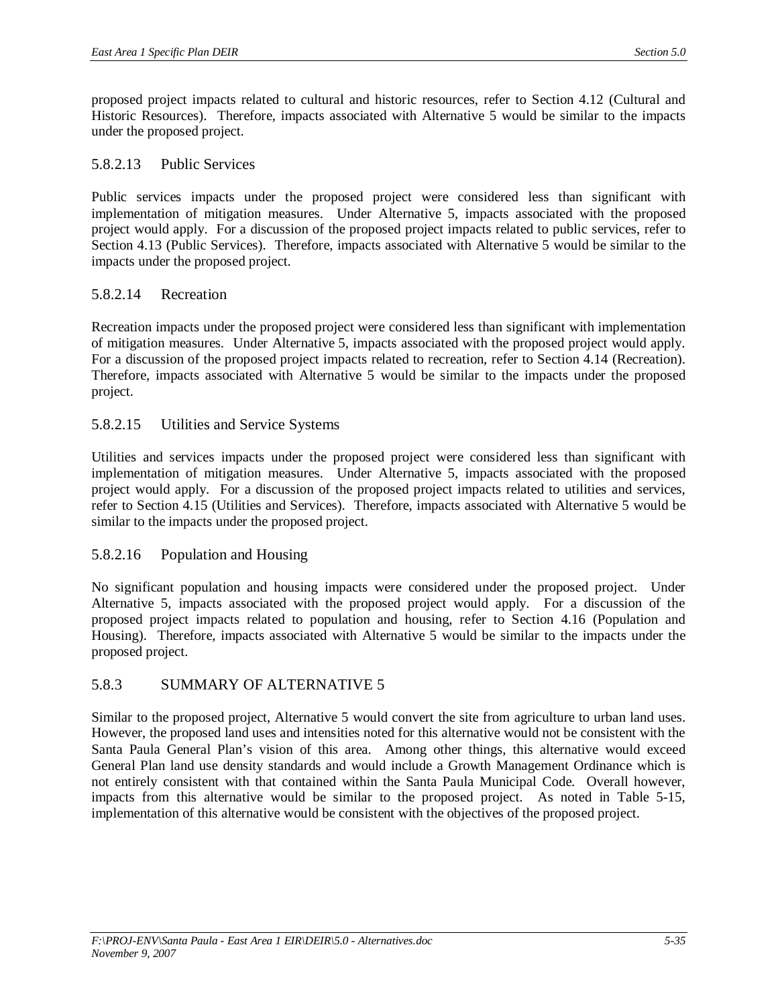proposed project impacts related to cultural and historic resources, refer to Section 4.12 (Cultural and Historic Resources). Therefore, impacts associated with Alternative 5 would be similar to the impacts under the proposed project.

#### 5.8.2.13 Public Services

Public services impacts under the proposed project were considered less than significant with implementation of mitigation measures. Under Alternative 5, impacts associated with the proposed project would apply. For a discussion of the proposed project impacts related to public services, refer to Section 4.13 (Public Services). Therefore, impacts associated with Alternative 5 would be similar to the impacts under the proposed project.

### 5.8.2.14 Recreation

Recreation impacts under the proposed project were considered less than significant with implementation of mitigation measures. Under Alternative 5, impacts associated with the proposed project would apply. For a discussion of the proposed project impacts related to recreation, refer to Section 4.14 (Recreation). Therefore, impacts associated with Alternative 5 would be similar to the impacts under the proposed project.

#### 5.8.2.15 Utilities and Service Systems

Utilities and services impacts under the proposed project were considered less than significant with implementation of mitigation measures. Under Alternative 5, impacts associated with the proposed project would apply. For a discussion of the proposed project impacts related to utilities and services, refer to Section 4.15 (Utilities and Services). Therefore, impacts associated with Alternative 5 would be similar to the impacts under the proposed project.

### 5.8.2.16 Population and Housing

No significant population and housing impacts were considered under the proposed project. Under Alternative 5, impacts associated with the proposed project would apply. For a discussion of the proposed project impacts related to population and housing, refer to Section 4.16 (Population and Housing). Therefore, impacts associated with Alternative 5 would be similar to the impacts under the proposed project.

### 5.8.3 SUMMARY OF ALTERNATIVE 5

Similar to the proposed project, Alternative 5 would convert the site from agriculture to urban land uses. However, the proposed land uses and intensities noted for this alternative would not be consistent with the Santa Paula General Plan's vision of this area. Among other things, this alternative would exceed General Plan land use density standards and would include a Growth Management Ordinance which is not entirely consistent with that contained within the Santa Paula Municipal Code. Overall however, impacts from this alternative would be similar to the proposed project. As noted in Table 5-15, implementation of this alternative would be consistent with the objectives of the proposed project.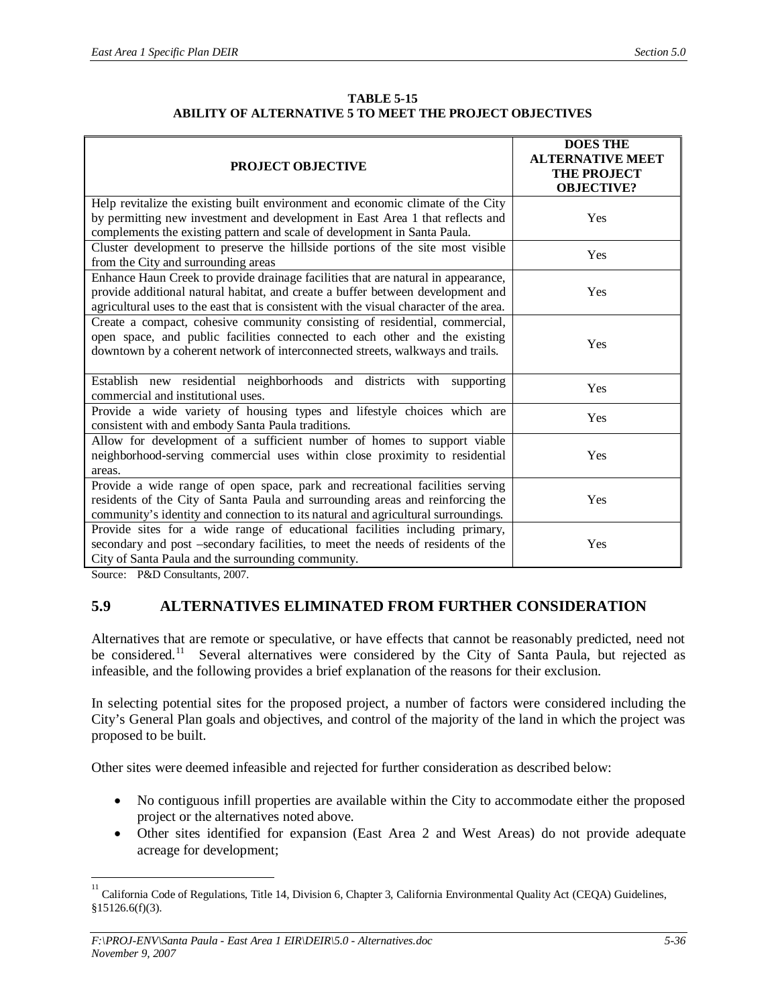| <b>TABLE 5-15</b>                                              |
|----------------------------------------------------------------|
| <b>ABILITY OF ALTERNATIVE 5 TO MEET THE PROJECT OBJECTIVES</b> |

| <b>PROJECT OBJECTIVE</b>                                                                                                                                                                                                                                        | <b>DOES THE</b><br><b>ALTERNATIVE MEET</b><br><b>THE PROJECT</b><br><b>OBJECTIVE?</b> |  |
|-----------------------------------------------------------------------------------------------------------------------------------------------------------------------------------------------------------------------------------------------------------------|---------------------------------------------------------------------------------------|--|
| Help revitalize the existing built environment and economic climate of the City<br>by permitting new investment and development in East Area 1 that reflects and<br>complements the existing pattern and scale of development in Santa Paula.                   | Yes                                                                                   |  |
| Cluster development to preserve the hillside portions of the site most visible<br>from the City and surrounding areas                                                                                                                                           | Yes                                                                                   |  |
| Enhance Haun Creek to provide drainage facilities that are natural in appearance,<br>provide additional natural habitat, and create a buffer between development and<br>agricultural uses to the east that is consistent with the visual character of the area. | Yes                                                                                   |  |
| Create a compact, cohesive community consisting of residential, commercial,<br>open space, and public facilities connected to each other and the existing<br>downtown by a coherent network of interconnected streets, walkways and trails.                     | Yes                                                                                   |  |
| Establish new residential neighborhoods and districts with<br>supporting<br>commercial and institutional uses.                                                                                                                                                  | Yes                                                                                   |  |
| Provide a wide variety of housing types and lifestyle choices which are<br>consistent with and embody Santa Paula traditions.                                                                                                                                   | Yes                                                                                   |  |
| Allow for development of a sufficient number of homes to support viable<br>neighborhood-serving commercial uses within close proximity to residential<br>areas.                                                                                                 | Yes                                                                                   |  |
| Provide a wide range of open space, park and recreational facilities serving<br>residents of the City of Santa Paula and surrounding areas and reinforcing the<br>community's identity and connection to its natural and agricultural surroundings.             | Yes                                                                                   |  |
| Provide sites for a wide range of educational facilities including primary,<br>secondary and post -secondary facilities, to meet the needs of residents of the<br>City of Santa Paula and the surrounding community.                                            | Yes                                                                                   |  |

Source: P&D Consultants, 2007.

### **5.9 ALTERNATIVES ELIMINATED FROM FURTHER CONSIDERATION**

Alternatives that are remote or speculative, or have effects that cannot be reasonably predicted, need not be considered.<sup>11</sup> Several alternatives were considered by the City of Santa Paula, but rejected as infeasible, and the following provides a brief explanation of the reasons for their exclusion.

In selecting potential sites for the proposed project, a number of factors were considered including the City's General Plan goals and objectives, and control of the majority of the land in which the project was proposed to be built.

Other sites were deemed infeasible and rejected for further consideration as described below:

- No contiguous infill properties are available within the City to accommodate either the proposed project or the alternatives noted above.
- Other sites identified for expansion (East Area 2 and West Areas) do not provide adequate acreage for development;

<sup>11</sup> California Code of Regulations, Title 14, Division 6, Chapter 3, California Environmental Quality Act (CEQA) Guidelines, §15126.6(f)(3).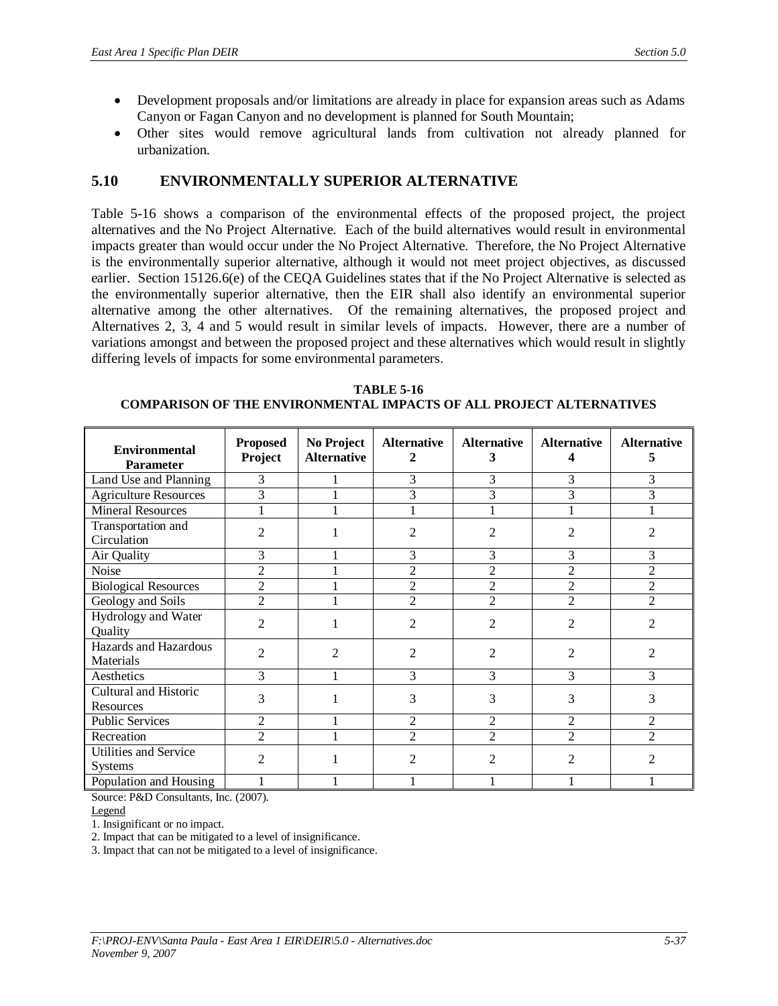- Development proposals and/or limitations are already in place for expansion areas such as Adams Canyon or Fagan Canyon and no development is planned for South Mountain;
- Other sites would remove agricultural lands from cultivation not already planned for urbanization.

# **5.10 ENVIRONMENTALLY SUPERIOR ALTERNATIVE**

Table 5-16 shows a comparison of the environmental effects of the proposed project, the project alternatives and the No Project Alternative. Each of the build alternatives would result in environmental impacts greater than would occur under the No Project Alternative. Therefore, the No Project Alternative is the environmentally superior alternative, although it would not meet project objectives, as discussed earlier. Section 15126.6(e) of the CEQA Guidelines states that if the No Project Alternative is selected as the environmentally superior alternative, then the EIR shall also identify an environmental superior alternative among the other alternatives. Of the remaining alternatives, the proposed project and Alternatives 2, 3, 4 and 5 would result in similar levels of impacts. However, there are a number of variations amongst and between the proposed project and these alternatives which would result in slightly differing levels of impacts for some environmental parameters.

| <b>Environmental</b><br><b>Parameter</b> | <b>Proposed</b><br>Project  | No Project<br><b>Alternative</b> | <b>Alternative</b><br>2 | <b>Alternative</b><br>3 | <b>Alternative</b><br>4 | <b>Alternative</b><br>5     |
|------------------------------------------|-----------------------------|----------------------------------|-------------------------|-------------------------|-------------------------|-----------------------------|
| Land Use and Planning                    | 3                           |                                  | 3                       | 3                       | 3                       | 3                           |
| <b>Agriculture Resources</b>             | 3                           |                                  | 3                       | 3                       | 3                       | 3                           |
| <b>Mineral Resources</b>                 |                             |                                  |                         |                         |                         |                             |
| Transportation and<br>Circulation        | $\mathfrak{D}$              |                                  | 2                       | 2                       | 2                       | 2                           |
| Air Quality                              | 3                           |                                  | 3                       | 3                       | 3                       | 3                           |
| Noise                                    | $\overline{2}$              |                                  | $\overline{c}$          | $\overline{2}$          | $\overline{2}$          | $\overline{c}$              |
| <b>Biological Resources</b>              | $\overline{2}$              |                                  | $\overline{2}$          | $\overline{2}$          | $\overline{2}$          | $\overline{2}$              |
| Geology and Soils                        | $\overline{2}$              |                                  | $\overline{2}$          | $\overline{2}$          | $\overline{2}$          | $\overline{2}$              |
| Hydrology and Water<br>Quality           | $\mathfrak{D}$              |                                  | $\overline{2}$          | $\mathfrak{D}$          | 2                       | $\mathcal{D}_{\mathcal{L}}$ |
| Hazards and Hazardous<br>Materials       | $\mathfrak{D}$              | $\mathfrak{D}$                   | 2                       | $\overline{c}$          | 2                       | 2                           |
| Aesthetics                               | 3                           |                                  | 3                       | 3                       | 3                       | 3                           |
| Cultural and Historic<br>Resources       | 3                           |                                  | 3                       | 3                       | 3                       | 3                           |
| <b>Public Services</b>                   | 2                           |                                  | $\overline{2}$          | $\overline{c}$          | $\overline{2}$          | 2                           |
| Recreation                               | $\overline{2}$              |                                  | $\overline{2}$          | $\overline{2}$          | $\overline{2}$          | $\overline{c}$              |
| Utilities and Service<br><b>Systems</b>  | $\mathcal{D}_{\mathcal{L}}$ |                                  | 2                       | $\mathfrak{D}$          | 2                       |                             |
| Population and Housing                   |                             |                                  |                         |                         |                         |                             |

**TABLE 5-16 COMPARISON OF THE ENVIRONMENTAL IMPACTS OF ALL PROJECT ALTERNATIVES**

Source: P&D Consultants, Inc. (2007).

Legend

1. Insignificant or no impact.

2. Impact that can be mitigated to a level of insignificance.

3. Impact that can not be mitigated to a level of insignificance.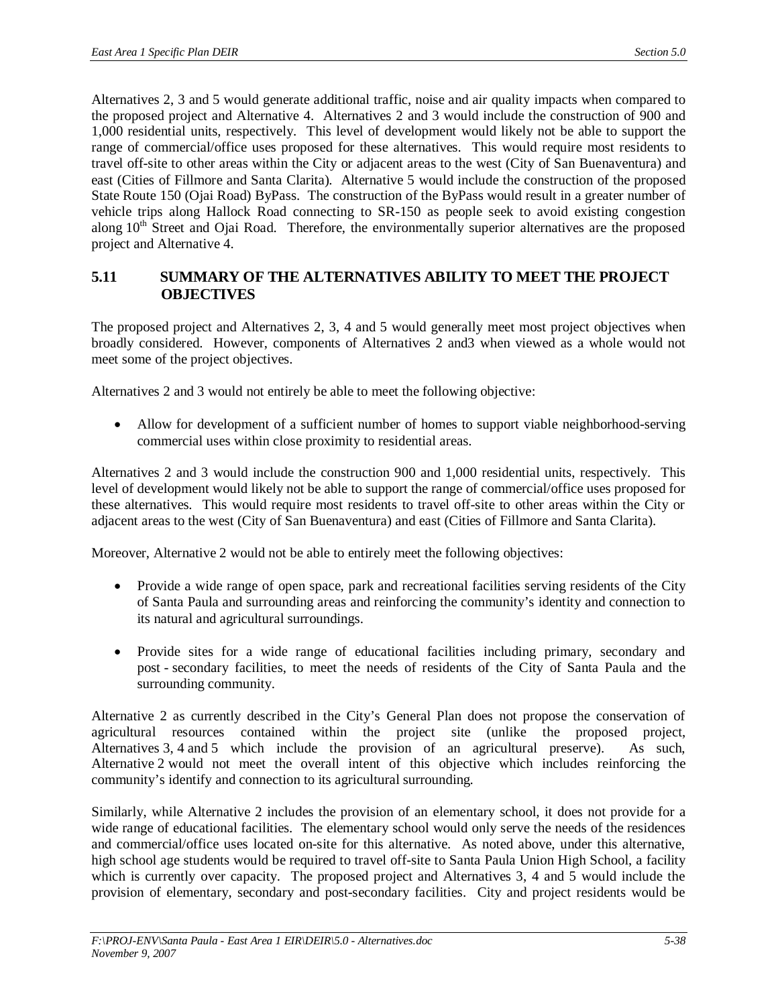Alternatives 2, 3 and 5 would generate additional traffic, noise and air quality impacts when compared to the proposed project and Alternative 4. Alternatives 2 and 3 would include the construction of 900 and 1,000 residential units, respectively. This level of development would likely not be able to support the range of commercial/office uses proposed for these alternatives. This would require most residents to travel off-site to other areas within the City or adjacent areas to the west (City of San Buenaventura) and east (Cities of Fillmore and Santa Clarita). Alternative 5 would include the construction of the proposed State Route 150 (Ojai Road) ByPass. The construction of the ByPass would result in a greater number of vehicle trips along Hallock Road connecting to SR-150 as people seek to avoid existing congestion along 10<sup>th</sup> Street and Ojai Road. Therefore, the environmentally superior alternatives are the proposed project and Alternative 4.

### **5.11 SUMMARY OF THE ALTERNATIVES ABILITY TO MEET THE PROJECT OBJECTIVES**

The proposed project and Alternatives 2, 3, 4 and 5 would generally meet most project objectives when broadly considered. However, components of Alternatives 2 and3 when viewed as a whole would not meet some of the project objectives.

Alternatives 2 and 3 would not entirely be able to meet the following objective:

Allow for development of a sufficient number of homes to support viable neighborhood-serving commercial uses within close proximity to residential areas.

Alternatives 2 and 3 would include the construction 900 and 1,000 residential units, respectively. This level of development would likely not be able to support the range of commercial/office uses proposed for these alternatives. This would require most residents to travel off-site to other areas within the City or adjacent areas to the west (City of San Buenaventura) and east (Cities of Fillmore and Santa Clarita).

Moreover, Alternative 2 would not be able to entirely meet the following objectives:

- Provide a wide range of open space, park and recreational facilities serving residents of the City of Santa Paula and surrounding areas and reinforcing the community's identity and connection to its natural and agricultural surroundings.
- Provide sites for a wide range of educational facilities including primary, secondary and post - secondary facilities, to meet the needs of residents of the City of Santa Paula and the surrounding community.

Alternative 2 as currently described in the City's General Plan does not propose the conservation of agricultural resources contained within the project site (unlike the proposed project, Alternatives 3, 4 and 5 which include the provision of an agricultural preserve). As such, Alternative 2 would not meet the overall intent of this objective which includes reinforcing the community's identify and connection to its agricultural surrounding.

Similarly, while Alternative 2 includes the provision of an elementary school, it does not provide for a wide range of educational facilities. The elementary school would only serve the needs of the residences and commercial/office uses located on-site for this alternative. As noted above, under this alternative, high school age students would be required to travel off-site to Santa Paula Union High School, a facility which is currently over capacity. The proposed project and Alternatives 3, 4 and 5 would include the provision of elementary, secondary and post-secondary facilities. City and project residents would be